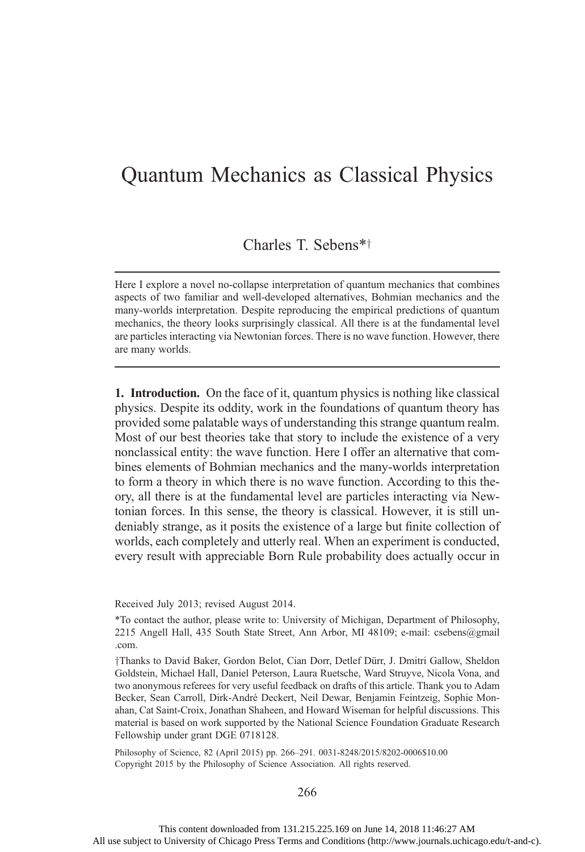## Quantum Mechanics as Classical Physics

Charles T. Sebens $*$ <sup>†</sup>

Here I explore a novel no-collapse interpretation of quantum mechanics that combines aspects of two familiar and well-developed alternatives, Bohmian mechanics and the many-worlds interpretation. Despite reproducing the empirical predictions of quantum mechanics, the theory looks surprisingly classical. All there is at the fundamental level are particles interacting via Newtonian forces. There is no wave function. However, there are many worlds.

1. Introduction. On the face of it, quantum physics is nothing like classical physics. Despite its oddity, work in the foundations of quantum theory has provided some palatable ways of understanding this strange quantum realm. Most of our best theories take that story to include the existence of a very nonclassical entity: the wave function. Here I offer an alternative that combines elements of Bohmian mechanics and the many-worlds interpretation to form a theory in which there is no wave function. According to this theory, all there is at the fundamental level are particles interacting via Newtonian forces. In this sense, the theory is classical. However, it is still undeniably strange, as it posits the existence of a large but finite collection of worlds, each completely and utterly real. When an experiment is conducted, every result with appreciable Born Rule probability does actually occur in

Received July 2013; revised August 2014.

\*To contact the author, please write to: University of Michigan, Department of Philosophy, 2215 Angell Hall, 435 South State Street, Ann Arbor, MI 48109; e-mail: csebens@gmail .com.

yThanks to David Baker, Gordon Belot, Cian Dorr, Detlef Dürr, J. Dmitri Gallow, Sheldon Goldstein, Michael Hall, Daniel Peterson, Laura Ruetsche, Ward Struyve, Nicola Vona, and two anonymous referees for very useful feedback on drafts of this article. Thank you to Adam Becker, Sean Carroll, Dirk-André Deckert, Neil Dewar, Benjamin Feintzeig, Sophie Monahan, Cat Saint-Croix, Jonathan Shaheen, and Howard Wiseman for helpful discussions. This material is based on work supported by the National Science Foundation Graduate Research Fellowship under grant DGE 0718128.

Philosophy of Science, 82 (April 2015) pp. 266–291. 0031-8248/2015/8202-0006\$10.00 Copyright 2015 by the Philosophy of Science Association. All rights reserved.

266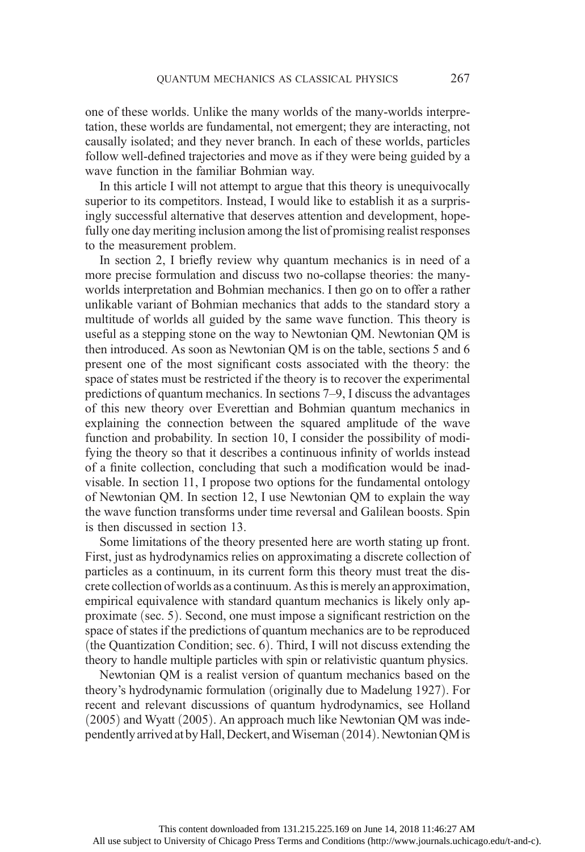one of these worlds. Unlike the many worlds of the many-worlds interpretation, these worlds are fundamental, not emergent; they are interacting, not causally isolated; and they never branch. In each of these worlds, particles follow well-defined trajectories and move as if they were being guided by a wave function in the familiar Bohmian way.

In this article I will not attempt to argue that this theory is unequivocally superior to its competitors. Instead, I would like to establish it as a surprisingly successful alternative that deserves attention and development, hopefully one day meriting inclusion among the list of promising realist responses to the measurement problem.

In section 2, I briefly review why quantum mechanics is in need of a more precise formulation and discuss two no-collapse theories: the manyworlds interpretation and Bohmian mechanics. I then go on to offer a rather unlikable variant of Bohmian mechanics that adds to the standard story a multitude of worlds all guided by the same wave function. This theory is useful as a stepping stone on the way to Newtonian QM. Newtonian QM is then introduced. As soon as Newtonian QM is on the table, sections 5 and 6 present one of the most significant costs associated with the theory: the space of states must be restricted if the theory is to recover the experimental predictions of quantum mechanics. In sections 7–9, I discuss the advantages of this new theory over Everettian and Bohmian quantum mechanics in explaining the connection between the squared amplitude of the wave function and probability. In section 10, I consider the possibility of modifying the theory so that it describes a continuous infinity of worlds instead of a finite collection, concluding that such a modification would be inadvisable. In section 11, I propose two options for the fundamental ontology of Newtonian QM. In section 12, I use Newtonian QM to explain the way the wave function transforms under time reversal and Galilean boosts. Spin is then discussed in section 13.

Some limitations of the theory presented here are worth stating up front. First, just as hydrodynamics relies on approximating a discrete collection of particles as a continuum, in its current form this theory must treat the discrete collection of worlds as a continuum. As this is merely an approximation, empirical equivalence with standard quantum mechanics is likely only approximate (sec. 5). Second, one must impose a significant restriction on the space of states if the predictions of quantum mechanics are to be reproduced  $($ the Quantization Condition; sec.  $6)$ . Third, I will not discuss extending the theory to handle multiple particles with spin or relativistic quantum physics.

Newtonian QM is a realist version of quantum mechanics based on the theory's hydrodynamic formulation (originally due to Madelung 1927). For recent and relevant discussions of quantum hydrodynamics, see Holland  $(2005)$  and Wyatt  $(2005)$ . An approach much like Newtonian QM was independently arrived at by Hall, Deckert, and Wiseman  $(2014)$ . Newtonian QM is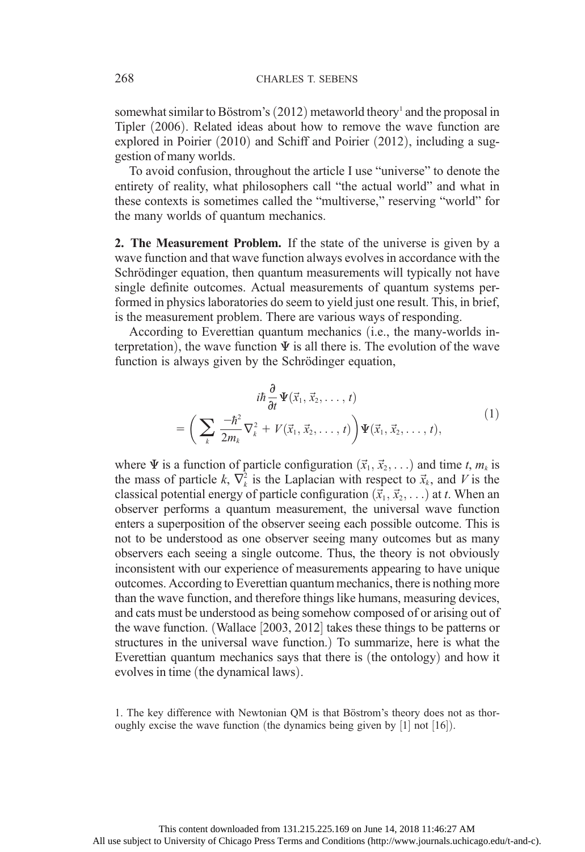somewhat similar to Böstrom's  $(2012)$  metaworld theory<sup>1</sup> and the proposal in Tipler (2006). Related ideas about how to remove the wave function are explored in Poirier  $(2010)$  and Schiff and Poirier  $(2012)$ , including a suggestion of many worlds.

To avoid confusion, throughout the article I use "universe" to denote the entirety of reality, what philosophers call "the actual world" and what in these contexts is sometimes called the "multiverse," reserving "world" for the many worlds of quantum mechanics.

2. The Measurement Problem. If the state of the universe is given by a wave function and that wave function always evolves in accordance with the Schrödinger equation, then quantum measurements will typically not have single definite outcomes. Actual measurements of quantum systems performed in physics laboratories do seem to yield just one result. This, in brief, is the measurement problem. There are various ways of responding.

According to Everettian quantum mechanics (i.e., the many-worlds interpretation), the wave function  $\Psi$  is all there is. The evolution of the wave function is always given by the Schrödinger equation,

$$
i\hbar \frac{\partial}{\partial t} \Psi(\vec{x}_1, \vec{x}_2, \dots, t)
$$
  
= 
$$
\left(\sum_k \frac{-\hbar^2}{2m_k} \nabla_k^2 + V(\vec{x}_1, \vec{x}_2, \dots, t)\right) \Psi(\vec{x}_1, \vec{x}_2, \dots, t),
$$
 (1)

where  $\Psi$  is a function of particle configuration  $(\vec{x}_1, \vec{x}_2, \ldots)$  and time t,  $m_k$  is the mass of particle k,  $\nabla_k^2$  is the Laplacian with respect to  $\vec{x}_k$ , and V is the classical potential energy of particle configuration  $(\vec{x}_1, \vec{x}_2, \ldots)$  at t. When an observer performs a quantum measurement, the universal wave function enters a superposition of the observer seeing each possible outcome. This is not to be understood as one observer seeing many outcomes but as many observers each seeing a single outcome. Thus, the theory is not obviously inconsistent with our experience of measurements appearing to have unique outcomes. According to Everettian quantum mechanics, there is nothing more than the wave function, and therefore things like humans, measuring devices, and cats must be understood as being somehow composed of or arising out of the wave function. (Wallace  $[2003, 2012]$  takes these things to be patterns or structures in the universal wave function). To summarize, here is what the structures in the universal wave function.) To summarize, here is what the Everettian quantum mechanics says that there is (the ontology) and how it evolves in time (the dynamical laws).

1. The key difference with Newtonian QM is that Böstrom's theory does not as thoroughly excise the wave function (the dynamics being given by  $[1]$  not  $[16]$ ).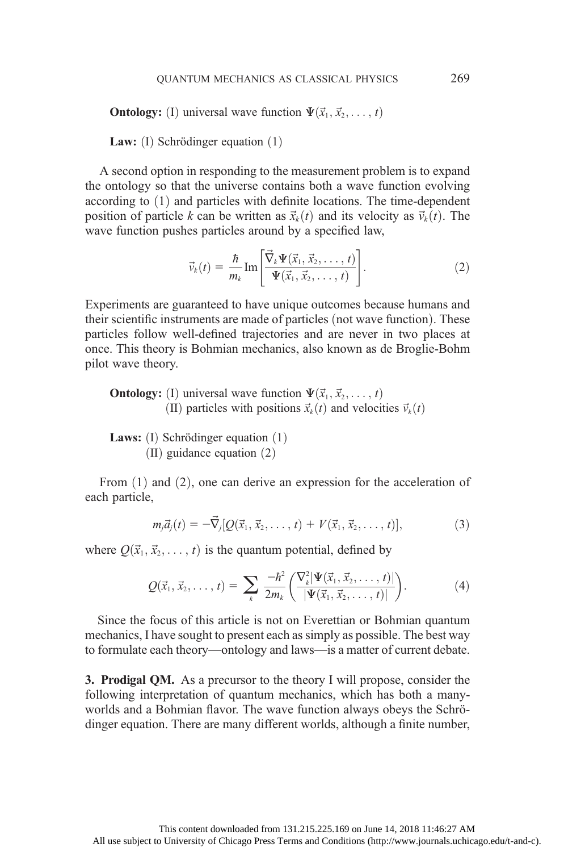**Ontology:** (I) universal wave function  $\Psi(\vec{x}_1, \vec{x}_2, \dots, t)$ 

Law:  $(I)$  Schrödinger equation  $(1)$ 

A second option in responding to the measurement problem is to expand the ontology so that the universe contains both a wave function evolving according to  $(1)$  and particles with definite locations. The time-dependent position of particle k can be written as  $\vec{x}_k(t)$  and its velocity as  $\vec{v}_k(t)$ . The wave function pushes particles around by a specified law,

$$
\vec{v}_k(t) = \frac{\hbar}{m_k} \text{Im} \left[ \frac{\vec{\nabla}_k \Psi(\vec{x}_1, \vec{x}_2, \dots, t)}{\Psi(\vec{x}_1, \vec{x}_2, \dots, t)} \right].
$$
 (2)

Experiments are guaranteed to have unique outcomes because humans and their scientific instruments are made of particles (not wave function). These particles follow well-defined trajectories and are never in two places at once. This theory is Bohmian mechanics, also known as de Broglie-Bohm pilot wave theory.

**Ontology:** (I) universal wave function  $\Psi(\vec{x}_1, \vec{x}_2, \ldots, t)$ (II) particles with positions  $\vec{x}_k(t)$  and velocities  $\vec{v}_k(t)$ 

Laws: (I) Schrödinger equation (1)  $(II)$  guidance equation  $(2)$ 

From  $(1)$  and  $(2)$ , one can derive an expression for the acceleration of each particle,

$$
m_j \vec{a}_j(t) = -\vec{\nabla}_j [Q(\vec{x}_1, \vec{x}_2, \dots, t) + V(\vec{x}_1, \vec{x}_2, \dots, t)],
$$
\n(3)

where  $Q(\vec{x}_1, \vec{x}_2, \dots, t)$  is the quantum potential, defined by

$$
Q(\vec{x}_1, \vec{x}_2, \dots, t) = \sum_{k} \frac{-\hbar^2}{2m_k} \left( \frac{\nabla_k^2 |\Psi(\vec{x}_1, \vec{x}_2, \dots, t)|}{|\Psi(\vec{x}_1, \vec{x}_2, \dots, t)|} \right). \tag{4}
$$

Since the focus of this article is not on Everettian or Bohmian quantum mechanics, I have sought to present each as simply as possible. The best way to formulate each theory—ontology and laws—is a matter of current debate.

3. Prodigal QM. As a precursor to the theory I will propose, consider the following interpretation of quantum mechanics, which has both a manyworlds and a Bohmian flavor. The wave function always obeys the Schrödinger equation. There are many different worlds, although a finite number,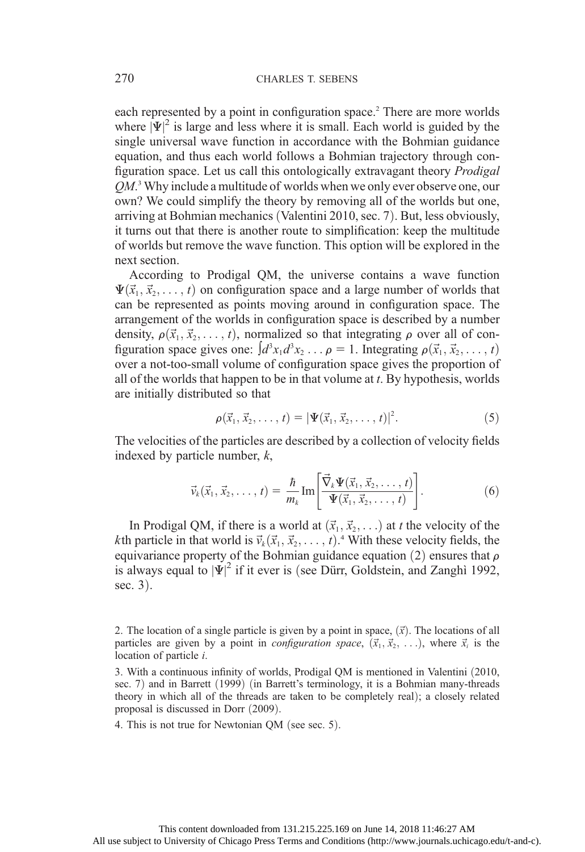each represented by a point in configuration space.<sup>2</sup> There are more worlds where  $|\Psi|^2$  is large and less where it is small. Each world is guided by the single universal wave function in accordance with the Bohmian guidance equation, and thus each world follows a Bohmian trajectory through configuration space. Let us call this ontologically extravagant theory Prodigal  $QM$ <sup>3</sup> Why include a multitude of worlds when we only ever observe one, our own? We could simplify the theory by removing all of the worlds but one, arriving at Bohmian mechanics (Valentini 2010, sec. 7). But, less obviously, it turns out that there is another route to simplification: keep the multitude of worlds but remove the wave function. This option will be explored in the next section.

According to Prodigal QM, the universe contains a wave function  $\Psi(\vec{x}_1, \vec{x}_2, \ldots, t)$  on configuration space and a large number of worlds that can be represented as points moving around in configuration space. The arrangement of the worlds in configuration space is described by a number density,  $\rho(\vec{x}_1, \vec{x}_2, \ldots, t)$ , normalized so that integrating  $\rho$  over all of configuration space gives one:  $\int d^3x_1 d^3x_2 \dots \rho = 1$ . Integrating  $\rho(\vec{x}_1, \vec{x}_2, \dots, t)$ <br>over a not-too-small volume of configuration space gives the proportion of over a not-too-small volume of configuration space gives the proportion of all of the worlds that happen to be in that volume at  $t$ . By hypothesis, worlds are initially distributed so that

$$
\rho(\vec{x}_1, \vec{x}_2, \dots, t) = |\Psi(\vec{x}_1, \vec{x}_2, \dots, t)|^2.
$$
 (5)

The velocities of the particles are described by a collection of velocity fields indexed by particle number,  $k$ ,

$$
\vec{v}_k(\vec{x}_1, \vec{x}_2, \dots, t) = \frac{\hbar}{m_k} \text{Im} \left[ \frac{\vec{\nabla}_k \Psi(\vec{x}_1, \vec{x}_2, \dots, t)}{\Psi(\vec{x}_1, \vec{x}_2, \dots, t)} \right]. \tag{6}
$$

In Prodigal QM, if there is a world at  $(\vec{x}_1, \vec{x}_2, \ldots)$  at t the velocity of the kth particle in that world is  $\vec{v}_k (\vec{x}_1, \vec{x}_2, \ldots, t)$ .<sup>4</sup> With these velocity fields, the equivariance property of the Bohmian guidance equation (2) ensures that of equivariance property of the Bohmian guidance equation (2) ensures that  $\rho$  is always equal to  $|\Psi|^2$  if it ever is (see Dürr, Goldstein, and Zanghì 1992, sec. 3) sec.  $3$ ).

2. The location of a single particle is given by a point in space,  $(\vec{x})$ . The locations of all particles are given by a point in *configuration space*,  $(\vec{x}_1, \vec{x}_2, \ldots)$ , where  $\vec{x}_i$  is the location of particle i.

3. With a continuous infinity of worlds, Prodigal QM is mentioned in Valentini (2010, sec. 7) and in Barrett (1999) (in Barrett's terminology, it is a Bohmian many-threads theory in which all of the threads are taken to be completely real); a closely related proposal is discussed in Dorr  $(2009)$ .

4. This is not true for Newtonian QM (see sec.  $5$ ).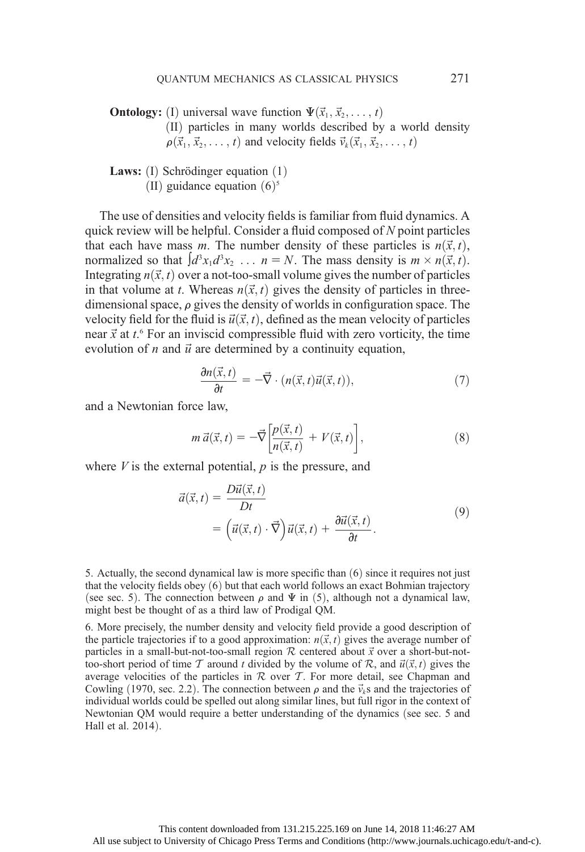**Ontology:** (I) universal wave function  $\Psi(\vec{x}_1, \vec{x}_2, \ldots, t)$ 

 $(II)$  particles in many worlds described by a world density  $\rho(\vec{x}_1, \vec{x}_2, \ldots, t)$  and velocity fields  $\vec{v}_k (\vec{x}_1, \vec{x}_2, \ldots, t)$ 

**Laws:** (I) Schrödinger equation  $(1)$ (II) guidance equation  $(6)^5$ 

The use of densities and velocity fields is familiar from fluid dynamics. A quick review will be helpful. Consider a fluid composed of N point particles that each have mass m. The number density of these particles is  $n(\vec{x}, t)$ , normalized so that  $\int d^3x_1 d^3$ Integrating  $n(\vec{x}, t)$  over a not-too-small volume gives the number of particles Integrating  $n(\vec{x}, t)$  over a not-too-small volume gives the number of particles<br>in that volume at t. Whereas  $n(\vec{x}, t)$  gives the density of particles in threein that volume at t. Whereas  $n(\vec{x}, t)$  gives the density of particles in three-<br>dimensional space, a gives the density of worlds in configuration space. The dimensional space,  $\rho$  gives the density of worlds in configuration space. The velocity field for the fluid is  $\vec{u}(\vec{x}, t)$ , defined as the mean velocity of particles near  $\vec{x}$  at  $t$ .<sup>6</sup> For an inviscid compressible fluid with zero vorticity, the time evolution of *n* and  $\vec{u}$  are determined by a continuity equation,

$$
\frac{\partial n(\vec{x},t)}{\partial t} = -\vec{\nabla} \cdot (n(\vec{x},t)\vec{u}(\vec{x},t)),\tag{7}
$$

and a Newtonian force law,

$$
m\,\vec{a}(\vec{x},t) = -\vec{\nabla}\left[\frac{p(\vec{x},t)}{n(\vec{x},t)} + V(\vec{x},t)\right],\tag{8}
$$

where  $V$  is the external potential,  $p$  is the pressure, and

$$
\vec{a}(\vec{x},t) = \frac{D\vec{u}(\vec{x},t)}{Dt} \n= (\vec{u}(\vec{x},t) \cdot \vec{\nabla}) \vec{u}(\vec{x},t) + \frac{\partial \vec{u}(\vec{x},t)}{\partial t}.
$$
\n(9)

5. Actually, the second dynamical law is more specific than  $(6)$  since it requires not just that the velocity fields obey  $(6)$  but that each world follows an exact Bohmian trajectory (see sec. 5). The connection between  $\rho$  and  $\Psi$  in (5), although not a dynamical law, might best be thought of as a third law of Prodigal QM.

6. More precisely, the number density and velocity field provide a good description of the particle trajectories if to a good approximation:  $n(\vec{x}, t)$  gives the average number of particles in a small-but-not-too-small region  $R$  centered about  $\vec{x}$  over a short-but-nottoo-short period of time T around t divided by the volume of R, and  $\vec{u}(\vec{x}, t)$  gives the average velocities of the particles in  $R$  over  $T$ . For more detail, see Chapman and Cowling (1970, sec. 2.2). The connection between  $\rho$  and the  $\vec{v}_k$  s and the trajectories of individual worlds could be spelled out along similar lines, but full rigor in the context of Newtonian OM would require a better understanding of the dynamics (see sec. 5 and Hall et al. 2014).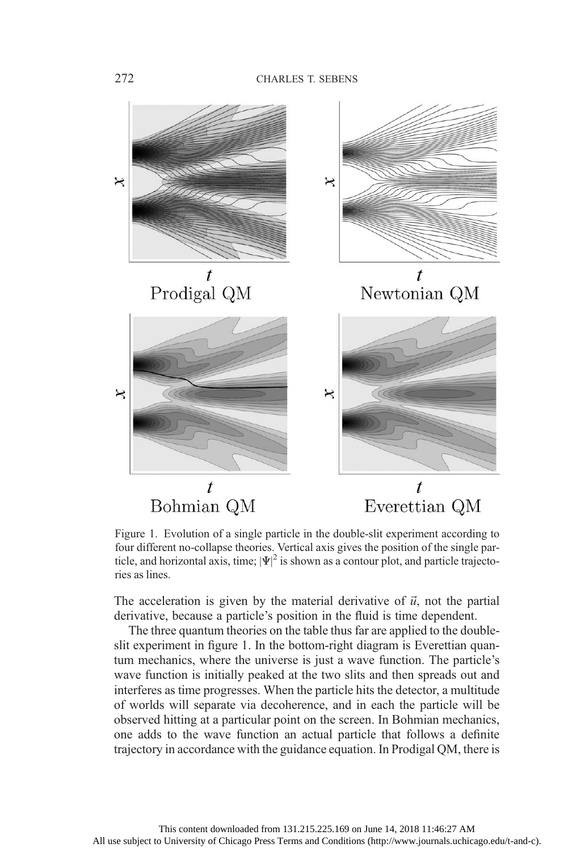

Figure 1. Evolution of a single particle in the double-slit experiment according to four different no-collapse theories. Vertical axis gives the position of the single particle, and horizontal axis, time;  $|\Psi|^2$  is shown as a contour plot, and particle trajectories as lines.

The acceleration is given by the material derivative of  $\vec{u}$ , not the partial derivative, because a particle's position in the fluid is time dependent.

The three quantum theories on the table thus far are applied to the doubleslit experiment in figure 1. In the bottom-right diagram is Everettian quantum mechanics, where the universe is just a wave function. The particle's wave function is initially peaked at the two slits and then spreads out and interferes as time progresses. When the particle hits the detector, a multitude of worlds will separate via decoherence, and in each the particle will be observed hitting at a particular point on the screen. In Bohmian mechanics, one adds to the wave function an actual particle that follows a definite trajectory in accordance with the guidance equation. In Prodigal QM, there is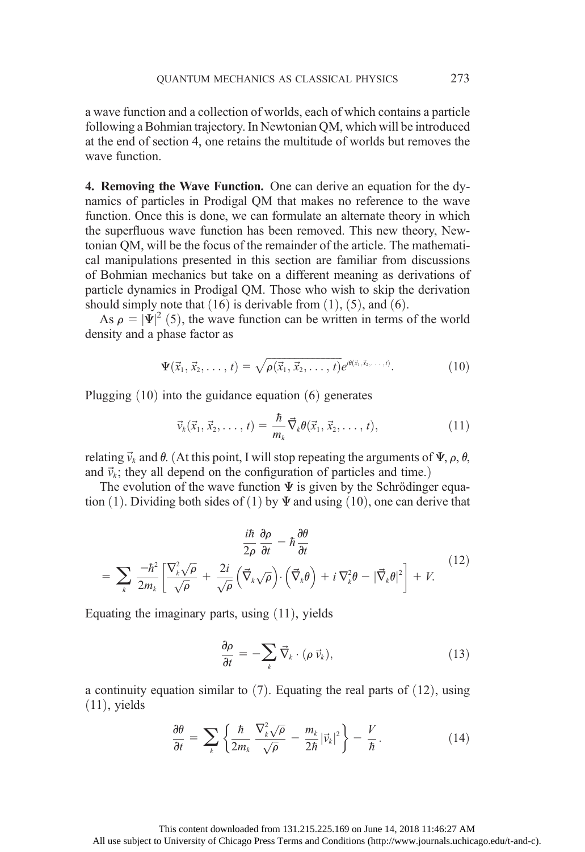a wave function and a collection of worlds, each of which contains a particle following a Bohmian trajectory. In Newtonian QM, which will be introduced at the end of section 4, one retains the multitude of worlds but removes the wave function.

4. Removing the Wave Function. One can derive an equation for the dynamics of particles in Prodigal QM that makes no reference to the wave function. Once this is done, we can formulate an alternate theory in which the superfluous wave function has been removed. This new theory, Newtonian QM, will be the focus of the remainder of the article. The mathematical manipulations presented in this section are familiar from discussions of Bohmian mechanics but take on a different meaning as derivations of particle dynamics in Prodigal QM. Those who wish to skip the derivation should simply note that  $(16)$  is derivable from  $(1)$ ,  $(5)$ , and  $(6)$ .

As  $\rho = |\Psi|^2$  (5), the wave function can be written in terms of the world<br>asity and a phase factor as density and a phase factor as

$$
\Psi(\vec{x}_1, \vec{x}_2, \dots, t) = \sqrt{\rho(\vec{x}_1, \vec{x}_2, \dots, t)} e^{i\theta(\vec{x}_1, \vec{x}_2, \dots, t)}.
$$
(10)

Plugging  $(10)$  into the guidance equation  $(6)$  generates

$$
\vec{v}_k(\vec{x}_1, \vec{x}_2, \dots, t) = \frac{\hbar}{m_k} \vec{\nabla}_k \theta(\vec{x}_1, \vec{x}_2, \dots, t), \qquad (11)
$$

relating  $\vec{v}_k$  and  $\theta$ . (At this point, I will stop repeating the arguments of  $\Psi$ ,  $\rho$ ,  $\theta$ , and  $\vec{v}_k$ ; they all depend on the configuration of particles and time.)

The evolution of the wave function  $\Psi$  is given by the Schrödinger equation (1). Dividing both sides of (1) by  $\Psi$  and using (10), one can derive that

$$
\frac{i\hbar}{2\rho}\frac{\partial\rho}{\partial t} - \hbar\frac{\partial\theta}{\partial t}
$$
\n
$$
= \sum_{k} \frac{-\hbar^2}{2m_k} \left[ \frac{\nabla_k^2 \sqrt{\rho}}{\sqrt{\rho}} + \frac{2i}{\sqrt{\rho}} \left( \vec{\nabla}_k \sqrt{\rho} \right) \cdot \left( \vec{\nabla}_k \theta \right) + i \nabla_k^2 \theta - |\vec{\nabla}_k \theta|^2 \right] + V. \tag{12}
$$

Equating the imaginary parts, using  $(11)$ , yields

$$
\frac{\partial \rho}{\partial t} = -\sum_{k} \vec{\nabla}_{k} \cdot (\rho \, \vec{v}_{k}), \tag{13}
$$

a continuity equation similar to  $(7)$ . Equating the real parts of  $(12)$ , using  $(11)$ , yields

$$
\frac{\partial \theta}{\partial t} = \sum_{k} \left\{ \frac{\hbar}{2m_{k}} \frac{\nabla_{k}^{2} \sqrt{\rho}}{\sqrt{\rho}} - \frac{m_{k}}{2\hbar} |\vec{v}_{k}|^{2} \right\} - \frac{V}{\hbar}.
$$
 (14)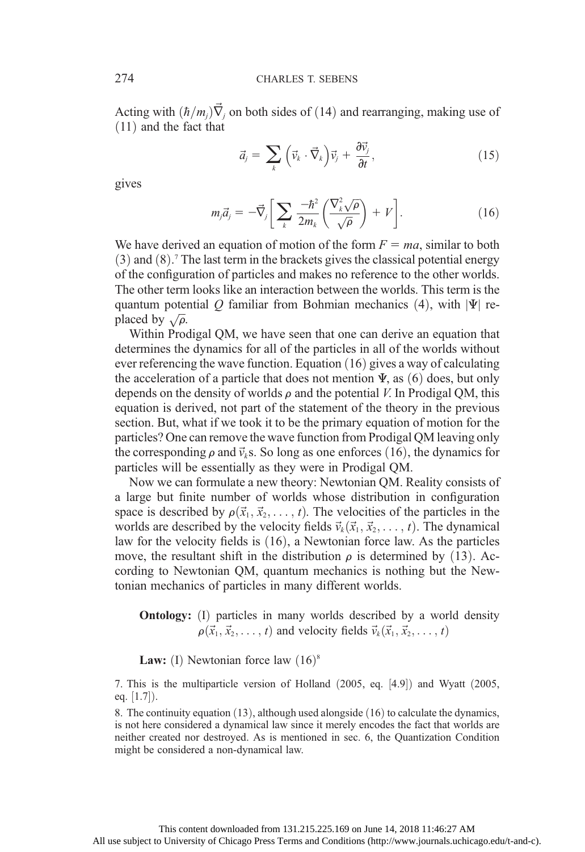Acting with  $(\hbar/m_i) \vec{\nabla}_i$  on both sides of (14) and rearranging, making use of  $(11)$  and the fact that

$$
\vec{a}_j = \sum_k \left( \vec{v}_k \cdot \vec{\nabla}_k \right) \vec{v}_j + \frac{\partial \vec{v}_j}{\partial t}, \qquad (15)
$$

gives

$$
m_j \vec{a}_j = -\vec{\nabla}_j \bigg[ \sum_k \frac{-\hbar^2}{2m_k} \bigg( \frac{\nabla_k^2 \sqrt{\rho}}{\sqrt{\rho}} \bigg) + V \bigg]. \tag{16}
$$

We have derived an equation of motion of the form  $F = ma$ , similar to both  $(3)$  and  $(8)$ . The last term in the brackets gives the classical potential energy of the configuration of particles and makes no reference to the other worlds of the configuration of particles and makes no reference to the other worlds. The other term looks like an interaction between the worlds. This term is the quantum potential Q familiar from Bohmian mechanics (4), with  $|\Psi|$  replaced by  $\sqrt{\rho}$ .

Within Prodigal QM, we have seen that one can derive an equation that determines the dynamics for all of the particles in all of the worlds without ever referencing the wave function. Equation  $(16)$  gives a way of calculating the acceleration of a particle that does not mention  $\Psi$ , as  $(6)$  does, but only depends on the density of worlds  $\rho$  and the potential V. In Prodigal QM, this equation is derived, not part of the statement of the theory in the previous section. But, what if we took it to be the primary equation of motion for the particles? One can remove the wave function from Prodigal QM leaving only the corresponding  $\rho$  and  $\vec{v}_k$ s. So long as one enforces (16), the dynamics for particles will be essentially as they were in Prodigal QM.

Now we can formulate a new theory: Newtonian QM. Reality consists of a large but finite number of worlds whose distribution in configuration space is described by  $\rho(\vec{x}_1, \vec{x}_2, \ldots, t)$ . The velocities of the particles in the worlds are described by the velocity fields  $\vec{v}_k (\vec{x}_1, \vec{x}_2, \ldots, t)$ . The dynamical law for the velocity fields is  $(16)$ , a Newtonian force law. As the particles move, the resultant shift in the distribution  $\rho$  is determined by (13). According to Newtonian QM, quantum mechanics is nothing but the Newtonian mechanics of particles in many different worlds.

**Ontology:** (I) particles in many worlds described by a world density  $\rho(\vec{x}_1, \vec{x}_2, \ldots, t)$  and velocity fields  $\vec{v}_k (\vec{x}_1, \vec{x}_2, \ldots, t)$ 

**Law:** (I) Newtonian force law  $(16)^8$ 

7. This is the multiparticle version of Holland  $(2005,$  eq.  $[4.9]$ ) and Wyatt  $(2005,$  eq.  $[1\ 7]$ ) eq. [1.7]).<br>• T

8. The continuity equation  $(13)$ , although used alongside  $(16)$  to calculate the dynamics, is not here considered a dynamical law since it merely encodes the fact that worlds are neither created nor destroyed. As is mentioned in sec. 6, the Quantization Condition might be considered a non-dynamical law.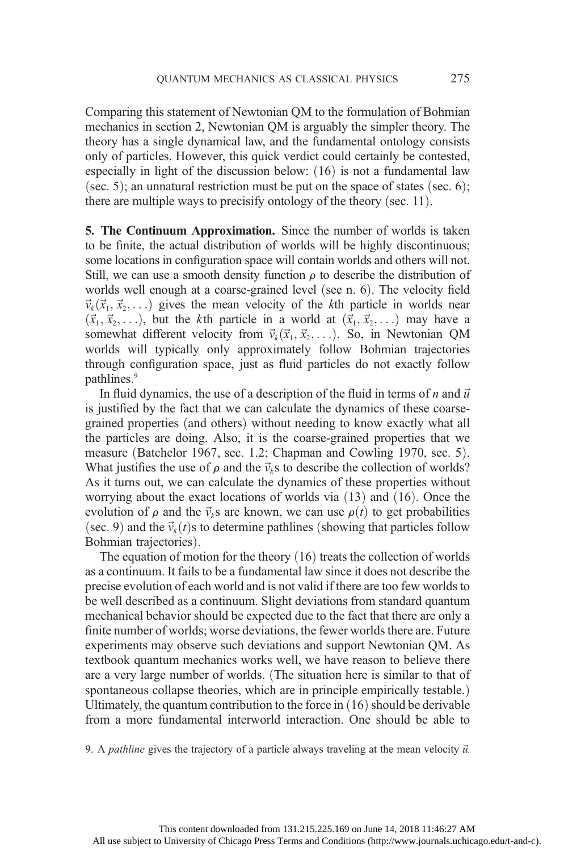Comparing this statement of Newtonian QM to the formulation of Bohmian mechanics in section 2, Newtonian QM is arguably the simpler theory. The theory has a single dynamical law, and the fundamental ontology consists only of particles. However, this quick verdict could certainly be contested, especially in light of the discussion below:  $(16)$  is not a fundamental law (sec. 5); an unnatural restriction must be put on the space of states (sec. 6); there are multiple ways to precisify ontology of the theory  $(sec. 11)$ .

5. The Continuum Approximation. Since the number of worlds is taken to be finite, the actual distribution of worlds will be highly discontinuous; some locations in configuration space will contain worlds and others will not. Still, we can use a smooth density function  $\rho$  to describe the distribution of worlds well enough at a coarse-grained level (see n.  $6$ ). The velocity field  $\vec{v}_k(\vec{x}_1, \vec{x}_2, \ldots)$  gives the mean velocity of the kth particle in worlds near  $(\vec{x}_1, \vec{x}_2, \ldots)$ , but the kth particle in a world at  $(\vec{x}_1, \vec{x}_2, \ldots)$  may have a somewhat different velocity from  $\vec{v}_k$   $(\vec{x}_1, \vec{x}_2, \ldots)$ . So, in Newtonian QM worlds will typically only approximately follow Bohmian trajectories through configuration space, just as fluid particles do not exactly follow pathlines.<sup>9</sup>

In fluid dynamics, the use of a description of the fluid in terms of n and  $\vec{u}$ is justified by the fact that we can calculate the dynamics of these coarsegrained properties (and others) without needing to know exactly what all the particles are doing. Also, it is the coarse-grained properties that we measure (Batchelor 1967, sec. 1.2; Chapman and Cowling 1970, sec. 5). What justifies the use of  $\rho$  and the  $\vec{v}_k$  s to describe the collection of worlds? As it turns out, we can calculate the dynamics of these properties without worrying about the exact locations of worlds via  $(13)$  and  $(16)$ . Once the evolution of  $\rho$  and the  $\vec{v}_k$  are known, we can use  $\rho(t)$  to get probabilities (sec. 9) and the  $\vec{v}_k(t)$ s to determine pathlines (showing that particles follow Bohmian trajectories).

The equation of motion for the theory  $(16)$  treats the collection of worlds as a continuum. It fails to be a fundamental law since it does not describe the precise evolution of each world and is not valid if there are too few worlds to be well described as a continuum. Slight deviations from standard quantum mechanical behavior should be expected due to the fact that there are only a finite number of worlds; worse deviations, the fewer worlds there are. Future experiments may observe such deviations and support Newtonian QM. As textbook quantum mechanics works well, we have reason to believe there are a very large number of worlds. (The situation here is similar to that of spontaneous collapse theories, which are in principle empirically testable.) Ultimately, the quantum contribution to the force in  $(16)$  should be derivable from a more fundamental interworld interaction. One should be able to

9. A *pathline* gives the trajectory of a particle always traveling at the mean velocity  $\vec{u}$ .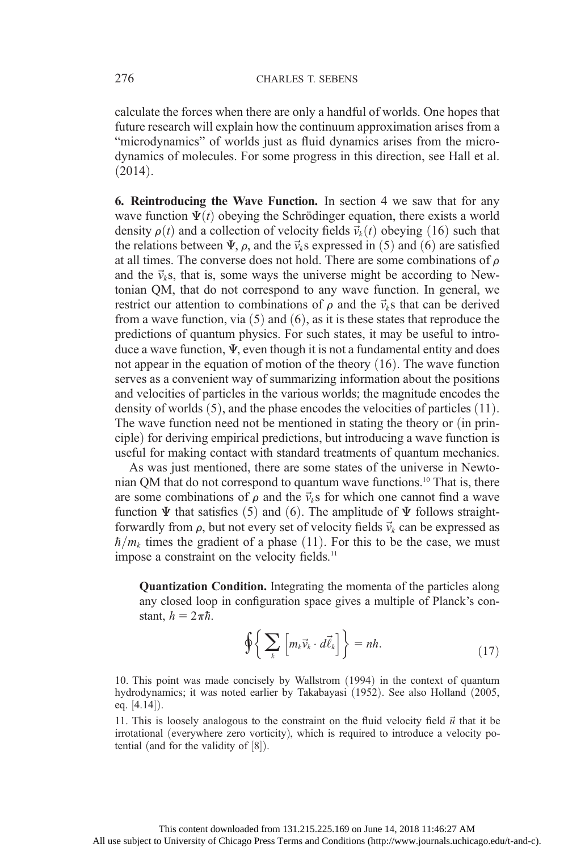calculate the forces when there are only a handful of worlds. One hopes that future research will explain how the continuum approximation arises from a "microdynamics" of worlds just as fluid dynamics arises from the microdynamics of molecules. For some progress in this direction, see Hall et al.  $(2014).$ 

6. Reintroducing the Wave Function. In section 4 we saw that for any wave function  $\Psi(t)$  obeying the Schrödinger equation, there exists a world density  $\rho(t)$  and a collection of velocity fields  $\vec{v}_k(t)$  obeying (16) such that the relations between  $\Psi$ ,  $\rho$ , and the  $\vec{v}_k$  s expressed in (5) and (6) are satisfied at all times. The converse does not hold. There are some combinations of  $\rho$ and the  $\vec{v}_k$ s, that is, some ways the universe might be according to Newtonian QM, that do not correspond to any wave function. In general, we restrict our attention to combinations of  $\rho$  and the  $\vec{v}_k$  s that can be derived from a wave function, via  $(5)$  and  $(6)$ , as it is these states that reproduce the predictions of quantum physics. For such states, it may be useful to introduce a wave function,  $\Psi$ , even though it is not a fundamental entity and does not appear in the equation of motion of the theory  $(16)$ . The wave function serves as a convenient way of summarizing information about the positions and velocities of particles in the various worlds; the magnitude encodes the density of worlds  $(5)$ , and the phase encodes the velocities of particles  $(11)$ . The wave function need not be mentioned in stating the theory or (in principle) for deriving empirical predictions, but introducing a wave function is useful for making contact with standard treatments of quantum mechanics.

As was just mentioned, there are some states of the universe in Newtonian QM that do not correspond to quantum wave functions.<sup>10</sup> That is, there are some combinations of  $\rho$  and the  $\vec{v}_k$  s for which one cannot find a wave function  $\Psi$  that satisfies (5) and (6). The amplitude of  $\Psi$  follows straightforwardly from  $\rho$ , but not every set of velocity fields  $\vec{v}_k$  can be expressed as  $\hbar/m_k$  times the gradient of a phase (11). For this to be the case, we must impose a constraint on the velocity fields.<sup>11</sup>

Quantization Condition. Integrating the momenta of the particles along any closed loop in configuration space gives a multiple of Planck's constant,  $h = 2\pi\hbar$ .

$$
\oint \left\{ \sum_{k} \left[ m_{k} \vec{v}_{k} \cdot d\vec{\ell}_{k} \right] \right\} = nh. \tag{17}
$$

10. This point was made concisely by Wallstrom  $(1994)$  in the context of quantum hydrodynamics; it was noted earlier by Takabayasi (1952). See also Holland (2005, eq. [4.14]).<br>11. Ti

11. This is loosely analogous to the constraint on the fluid velocity field  $\vec{u}$  that it be irrotational (everywhere zero vorticity), which is required to introduce a velocity potential (and for the validity of  $[8]$ ).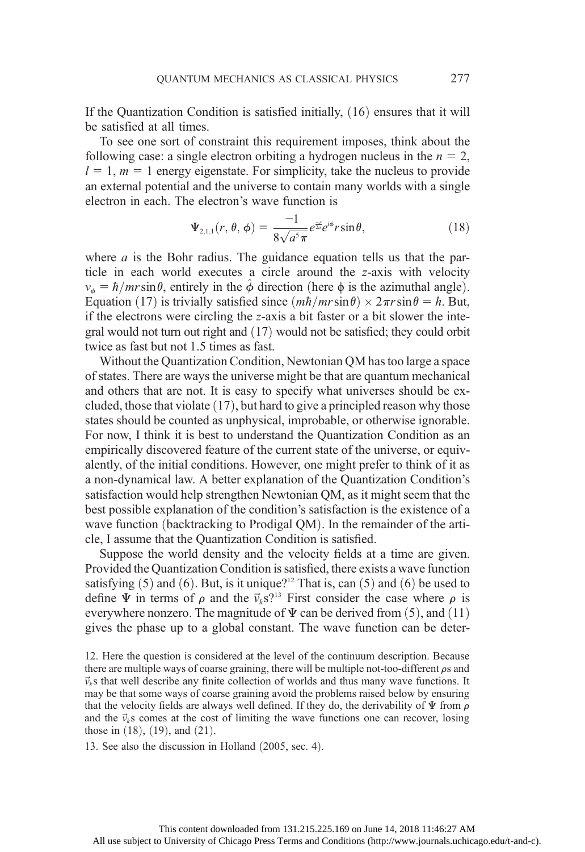If the Quantization Condition is satisfied initially,  $(16)$  ensures that it will be satisfied at all times.

To see one sort of constraint this requirement imposes, think about the following case: a single electron orbiting a hydrogen nucleus in the  $n = 2$ ,  $l = 1$ ,  $m = 1$  energy eigenstate. For simplicity, take the nucleus to provide an external potential and the universe to contain many worlds with a single electron in each. The electron's wave function is

$$
\Psi_{2,1,1}(r,\theta,\phi) = \frac{-1}{8\sqrt{a^5\pi}}e^{\frac{-r}{2a}}e^{i\phi}r\sin\theta,\tag{18}
$$

where  $a$  is the Bohr radius. The guidance equation tells us that the particle in each world executes a circle around the z-axis with velocity  $v_{\phi} = \hbar/mr\sin\theta$ , entirely in the  $\hat{\phi}$  direction (here  $\phi$  is the azimuthal angle). Equation (17) is trivially satisfied since  $(m\hbar/mr\sin\theta) \times 2\pi r\sin\theta = h$ . But, if the electrons were circling the z-axis a bit faster or a bit slower the integral would not turn out right and  $(17)$  would not be satisfied; they could orbit twice as fast but not 1.5 times as fast.

Without the Quantization Condition, Newtonian QM has too large a space of states. There are ways the universe might be that are quantum mechanical and others that are not. It is easy to specify what universes should be excluded, those that violate  $(17)$ , but hard to give a principled reason why those states should be counted as unphysical, improbable, or otherwise ignorable. For now, I think it is best to understand the Quantization Condition as an empirically discovered feature of the current state of the universe, or equivalently, of the initial conditions. However, one might prefer to think of it as a non-dynamical law. A better explanation of the Quantization Condition's satisfaction would help strengthen Newtonian QM, as it might seem that the best possible explanation of the condition's satisfaction is the existence of a wave function (backtracking to Prodigal OM). In the remainder of the article, I assume that the Quantization Condition is satisfied.

Suppose the world density and the velocity fields at a time are given. Provided the Quantization Condition is satisfied, there exists a wave function satisfying  $(5)$  and  $(6)$ . But, is it unique?<sup>12</sup> That is, can  $(5)$  and  $(6)$  be used to define  $\Psi$  in terms of  $\rho$  and the  $\vec{v}_k s$ ?<sup>13</sup> First consider the case where  $\rho$  is everywhere nonzero. The magnitude of  $\Psi$  can be derived from (5), and (11) gives the phase up to a global constant. The wave function can be deter-

12. Here the question is considered at the level of the continuum description. Because there are multiple ways of coarse graining, there will be multiple not-too-different  $\rho s$  and  $\vec{v}_k$ s that well describe any finite collection of worlds and thus many wave functions. It may be that some ways of coarse graining avoid the problems raised below by ensuring that the velocity fields are always well defined. If they do, the derivability of  $\Psi$  from  $\rho$ and the  $\vec{v}_k$  s comes at the cost of limiting the wave functions one can recover, losing those in  $(18)$ ,  $(19)$ , and  $(21)$ .

13. See also the discussion in Holland  $(2005, \text{sec. } 4)$ .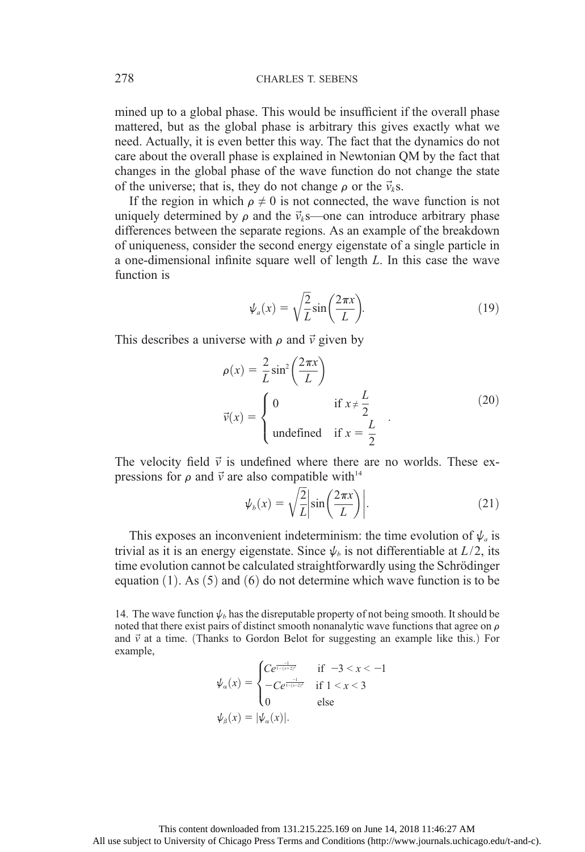mined up to a global phase. This would be insufficient if the overall phase mattered, but as the global phase is arbitrary this gives exactly what we need. Actually, it is even better this way. The fact that the dynamics do not care about the overall phase is explained in Newtonian QM by the fact that changes in the global phase of the wave function do not change the state of the universe; that is, they do not change  $\rho$  or the  $\vec{v}_k$ s.

If the region in which  $\rho \neq 0$  is not connected, the wave function is not uniquely determined by  $\rho$  and the  $\vec{v}_k$  s—one can introduce arbitrary phase differences between the separate regions. As an example of the breakdown of uniqueness, consider the second energy eigenstate of a single particle in a one-dimensional infinite square well of length L. In this case the wave function is

$$
\psi_a(x) = \sqrt{\frac{2}{L}} \sin\left(\frac{2\pi x}{L}\right).
$$
\n(19)

This describes a universe with  $\rho$  and  $\vec{v}$  given by

$$
\rho(x) = \frac{2}{L} \sin^2 \left(\frac{2\pi x}{L}\right)
$$
  

$$
\vec{v}(x) = \begin{cases} 0 & \text{if } x \neq \frac{L}{2} \\ \text{undefined} & \text{if } x = \frac{L}{2} \end{cases}
$$
 (20)

The velocity field  $\vec{v}$  is undefined where there are no worlds. These expressions for  $\rho$  and  $\vec{v}$  are also compatible with<sup>14</sup>

$$
\psi_b(x) = \sqrt{\frac{2}{L}} \left| \sin\left(\frac{2\pi x}{L}\right) \right|.
$$
\n(21)

This exposes an inconvenient indeterminism: the time evolution of  $\psi_a$  is trivial as it is an energy eigenstate. Since  $\psi_b$  is not differentiable at  $L/2$ , its time evolution cannot be calculated straightforwardly using the Schrödinger equation  $(1)$ . As  $(5)$  and  $(6)$  do not determine which wave function is to be

14. The wave function  $\psi_b$  has the disreputable property of not being smooth. It should be noted that there exist pairs of distinct smooth nonanalytic wave functions that agree on  $\rho$ and  $\vec{v}$  at a time. (Thanks to Gordon Belot for suggesting an example like this.) For example,

$$
\psi_{\alpha}(x) = \begin{cases}\nCe^{\frac{-1}{1-(x+2)^2}} & \text{if } -3 < x < -1 \\
-Ce^{\frac{-1}{1-(x-2)^2}} & \text{if } 1 < x < 3 \\
0 & \text{else}\n\end{cases}
$$
\n
$$
\psi_{\beta}(x) = |\psi_{\alpha}(x)|.
$$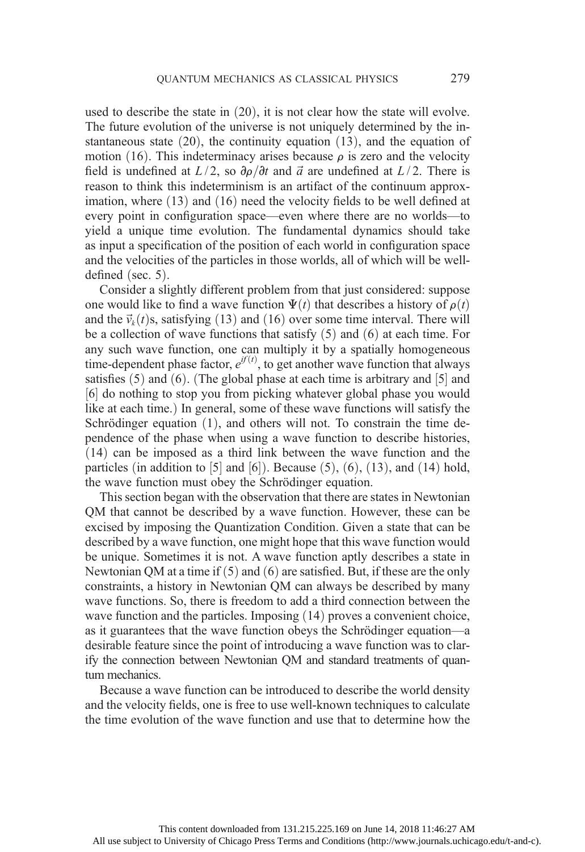used to describe the state in  $(20)$ , it is not clear how the state will evolve. The future evolution of the universe is not uniquely determined by the instantaneous state  $(20)$ , the continuity equation  $(13)$ , and the equation of motion (16). This indeterminacy arises because  $\rho$  is zero and the velocity field is undefined at  $L/2$ , so  $\partial \rho / \partial t$  and  $\vec{a}$  are undefined at  $L / 2$ . There is reason to think this indeterminism is an artifact of the continuum approximation, where  $(13)$  and  $(16)$  need the velocity fields to be well defined at every point in configuration space—even where there are no worlds—to yield a unique time evolution. The fundamental dynamics should take as input a specification of the position of each world in configuration space and the velocities of the particles in those worlds, all of which will be welldefined  $(sec. 5)$ .

Consider a slightly different problem from that just considered: suppose one would like to find a wave function  $\Psi(t)$  that describes a history of  $\rho(t)$ and the  $\vec{v}_k(t)$ s, satisfying (13) and (16) over some time interval. There will be a collection of wave functions that satisfy  $(5)$  and  $(6)$  at each time. For any such wave function, one can multiply it by a spatially homogeneous time-dependent phase factor,  $e^{if(t)}$ , to get another wave function that always satisfies  $(5)$  and  $(6)$ . (The global phase at each time is arbitrary and  $[5]$  and  $[6]$  do nothing to stop you from picking whatever global phase you would [6] do nothing to stop you from picking whatever global phase you would<br>like at each time ) In general, some of these wave functions will satisfy the like at each time.) In general, some of these wave functions will satisfy the Schrödinger equation  $(1)$ , and others will not. To constrain the time dependence of the phase when using a wave function to describe histories,  $(14)$  can be imposed as a third link between the wave function and the particles (in addition to  $[5]$  and  $[6]$ ). Because  $(5)$ ,  $(6)$ ,  $(13)$ , and  $(14)$  hold, the wave function must obey the Schrödinger equation the wave function must obey the Schrödinger equation.

This section began with the observation that there are states in Newtonian QM that cannot be described by a wave function. However, these can be excised by imposing the Quantization Condition. Given a state that can be described by a wave function, one might hope that this wave function would be unique. Sometimes it is not. A wave function aptly describes a state in Newtonian QM at a time if  $(5)$  and  $(6)$  are satisfied. But, if these are the only constraints, a history in Newtonian QM can always be described by many wave functions. So, there is freedom to add a third connection between the wave function and the particles. Imposing  $(14)$  proves a convenient choice, as it guarantees that the wave function obeys the Schrödinger equation—a desirable feature since the point of introducing a wave function was to clarify the connection between Newtonian QM and standard treatments of quantum mechanics.

Because a wave function can be introduced to describe the world density and the velocity fields, one is free to use well-known techniques to calculate the time evolution of the wave function and use that to determine how the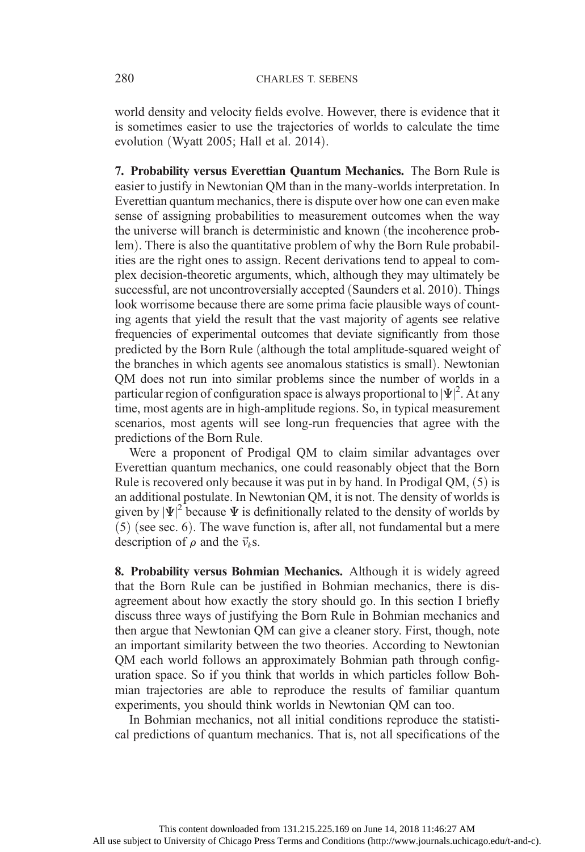world density and velocity fields evolve. However, there is evidence that it is sometimes easier to use the trajectories of worlds to calculate the time evolution (Wyatt 2005; Hall et al. 2014).

7. Probability versus Everettian Quantum Mechanics. The Born Rule is easier to justify in Newtonian QM than in the many-worlds interpretation. In Everettian quantum mechanics, there is dispute over how one can even make sense of assigning probabilities to measurement outcomes when the way the universe will branch is deterministic and known (the incoherence problem). There is also the quantitative problem of why the Born Rule probabilities are the right ones to assign. Recent derivations tend to appeal to complex decision-theoretic arguments, which, although they may ultimately be successful, are not uncontroversially accepted (Saunders et al. 2010). Things look worrisome because there are some prima facie plausible ways of counting agents that yield the result that the vast majority of agents see relative frequencies of experimental outcomes that deviate significantly from those predicted by the Born Rule (although the total amplitude-squared weight of the branches in which agents see anomalous statistics is small). Newtonian QM does not run into similar problems since the number of worlds in a particular region of configuration space is always proportional to  $|\Psi|^2$ . At any time, most agents are in high-amplitude regions. So, in typical measurement scenarios, most agents will see long-run frequencies that agree with the predictions of the Born Rule.

Were a proponent of Prodigal QM to claim similar advantages over Everettian quantum mechanics, one could reasonably object that the Born Rule is recovered only because it was put in by hand. In Prodigal OM,  $(5)$  is an additional postulate. In Newtonian QM, it is not. The density of worlds is given by  $|\Psi|^2$  because  $\Psi$  is definitionally related to the density of worlds by  $(5)$  (see sec. 6). The wave function is, after all, not fundamental but a mere description of  $\rho$  and the  $\vec{v}_k$ s.

8. Probability versus Bohmian Mechanics. Although it is widely agreed that the Born Rule can be justified in Bohmian mechanics, there is disagreement about how exactly the story should go. In this section I briefly discuss three ways of justifying the Born Rule in Bohmian mechanics and then argue that Newtonian QM can give a cleaner story. First, though, note an important similarity between the two theories. According to Newtonian QM each world follows an approximately Bohmian path through configuration space. So if you think that worlds in which particles follow Bohmian trajectories are able to reproduce the results of familiar quantum experiments, you should think worlds in Newtonian QM can too.

In Bohmian mechanics, not all initial conditions reproduce the statistical predictions of quantum mechanics. That is, not all specifications of the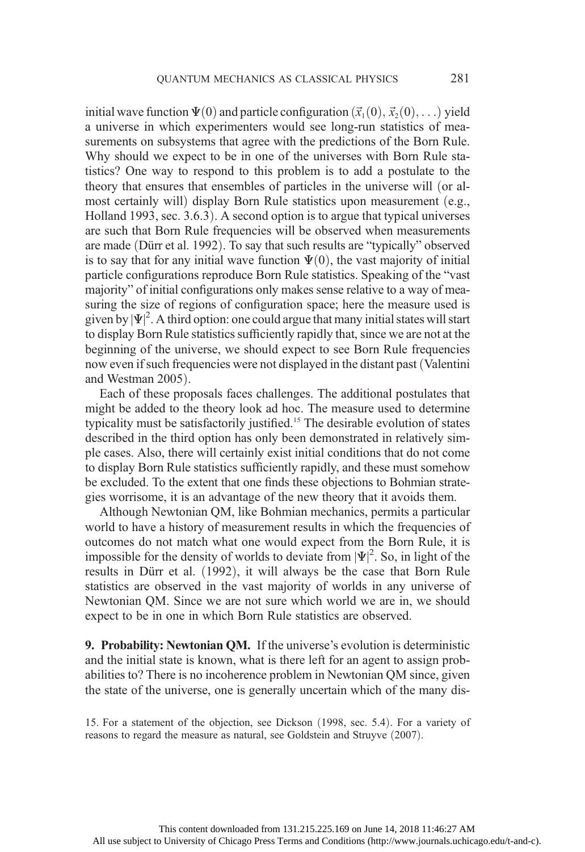initial wave function  $\Psi(0)$  and particle configuration  $(\vec{x}_1(0), \vec{x}_2(0),...)$  yield a universe in which experimenters would see long-run statistics of measurements on subsystems that agree with the predictions of the Born Rule. Why should we expect to be in one of the universes with Born Rule statistics? One way to respond to this problem is to add a postulate to the theory that ensures that ensembles of particles in the universe will (or almost certainly will) display Born Rule statistics upon measurement (e.g., Holland 1993, sec. 3.6.3). A second option is to argue that typical universes are such that Born Rule frequencies will be observed when measurements are made (Dürr et al. 1992). To say that such results are "typically" observed is to say that for any initial wave function  $\Psi(0)$ , the vast majority of initial particle configurations reproduce Born Rule statistics. Speaking of the "vast majority" of initial configurations only makes sense relative to a way of measuring the size of regions of configuration space; here the measure used is given by  $|\Psi|^2$ . A third option: one could argue that many initial states will start to display Born Rule statistics sufficiently rapidly that, since we are not at the beginning of the universe, we should expect to see Born Rule frequencies now even if such frequencies were not displayed in the distant past (Valentini) and Westman  $2005$ ).

Each of these proposals faces challenges. The additional postulates that might be added to the theory look ad hoc. The measure used to determine typicality must be satisfactorily justified.<sup>15</sup> The desirable evolution of states described in the third option has only been demonstrated in relatively simple cases. Also, there will certainly exist initial conditions that do not come to display Born Rule statistics sufficiently rapidly, and these must somehow be excluded. To the extent that one finds these objections to Bohmian strategies worrisome, it is an advantage of the new theory that it avoids them.

Although Newtonian QM, like Bohmian mechanics, permits a particular world to have a history of measurement results in which the frequencies of outcomes do not match what one would expect from the Born Rule, it is impossible for the density of worlds to deviate from  $|\Psi|^2$ . So, in light of the results in Dürr et al. (1992), it will always be the case that Born Rule statistics are observed in the vast majority of worlds in any universe of Newtonian QM. Since we are not sure which world we are in, we should expect to be in one in which Born Rule statistics are observed.

9. Probability: Newtonian QM. If the universe's evolution is deterministic and the initial state is known, what is there left for an agent to assign probabilities to? There is no incoherence problem in Newtonian QM since, given the state of the universe, one is generally uncertain which of the many dis-

15. For a statement of the objection, see Dickson (1998, sec. 5.4). For a variety of reasons to regard the measure as natural, see Goldstein and Struyve (2007).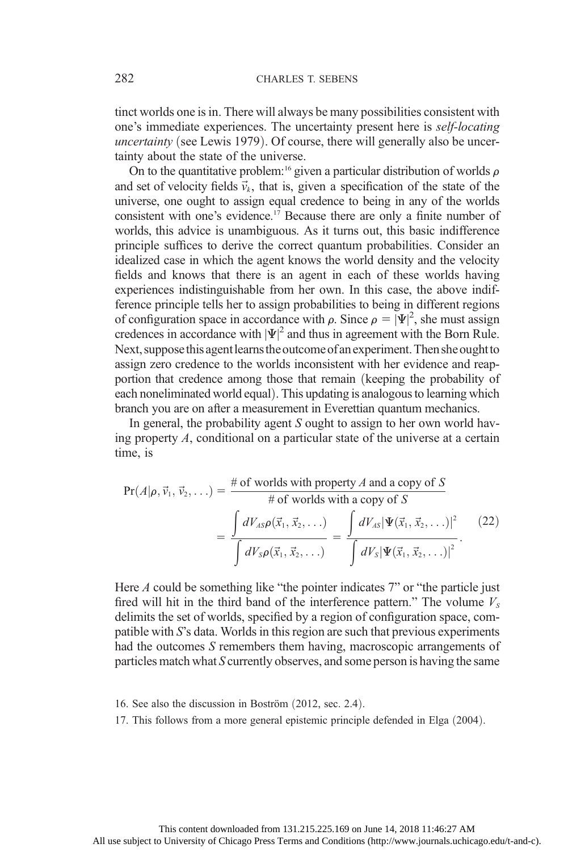tinct worlds one is in. There will always be many possibilities consistent with one's immediate experiences. The uncertainty present here is self-locating uncertainty (see Lewis 1979). Of course, there will generally also be uncertainty about the state of the universe.

On to the quantitative problem:<sup>16</sup> given a particular distribution of worlds  $\rho$ and set of velocity fields  $\vec{v}_k$ , that is, given a specification of the state of the universe, one ought to assign equal credence to being in any of the worlds consistent with one's evidence.<sup>17</sup> Because there are only a finite number of worlds, this advice is unambiguous. As it turns out, this basic indifference principle suffices to derive the correct quantum probabilities. Consider an idealized case in which the agent knows the world density and the velocity fields and knows that there is an agent in each of these worlds having experiences indistinguishable from her own. In this case, the above indifference principle tells her to assign probabilities to being in different regions of configuration space in accordance with  $\rho$ . Since  $\rho = |\Psi|^2$ , she must assign credences in accordance with  $|\Psi|^2$  and thus in agreement with the Born Rule. Next, suppose this agent learns the outcome of an experiment. Then she ought to assign zero credence to the worlds inconsistent with her evidence and reapportion that credence among those that remain (keeping the probability of each noneliminated world equal). This updating is analogous to learning which branch you are on after a measurement in Everettian quantum mechanics.

In general, the probability agent  $S$  ought to assign to her own world having property A, conditional on a particular state of the universe at a certain time, is

$$
\Pr(A|\rho, \vec{v}_1, \vec{v}_2, \ldots) = \frac{\text{\# of worlds with property } A \text{ and a copy of } S}{\text{\# of worlds with a copy of } S}
$$
\n
$$
= \frac{\int dV_{AS}\rho(\vec{x}_1, \vec{x}_2, \ldots)}{\int dV_{S}\rho(\vec{x}_1, \vec{x}_2, \ldots)} = \frac{\int dV_{AS} |\Psi(\vec{x}_1, \vec{x}_2, \ldots)|^2}{\int dV_{S} |\Psi(\vec{x}_1, \vec{x}_2, \ldots)|^2}.
$$
\n(22)

Here A could be something like "the pointer indicates 7" or "the particle just fired will hit in the third band of the interference pattern." The volume  $V_s$ delimits the set of worlds, specified by a region of configuration space, compatible with S's data. Worlds in this region are such that previous experiments had the outcomes S remembers them having, macroscopic arrangements of particles match what S currently observes, and some person is having the same

16. See also the discussion in Boström  $(2012, \text{sec. } 2.4)$ .

17. This follows from a more general epistemic principle defended in Elga (2004).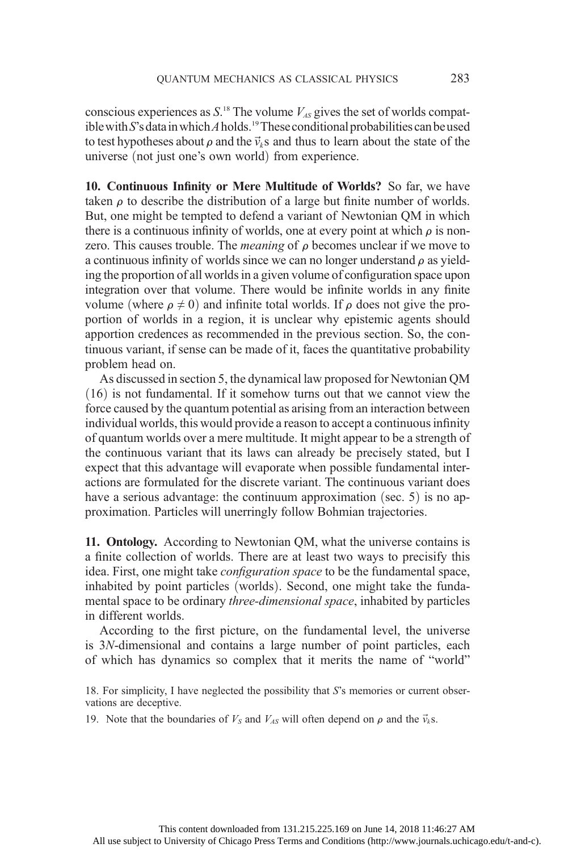conscious experiences as  $S^{18}$ . The volume  $V_{AS}$  gives the set of worlds compatible with S's data in which A holds.<sup>19</sup>These conditional probabilities can be used to test hypotheses about  $\rho$  and the  $\vec{v}_k$  s and thus to learn about the state of the universe (not just one's own world) from experience.

10. Continuous Infinity or Mere Multitude of Worlds? So far, we have taken  $\rho$  to describe the distribution of a large but finite number of worlds. But, one might be tempted to defend a variant of Newtonian QM in which there is a continuous infinity of worlds, one at every point at which  $\rho$  is nonzero. This causes trouble. The *meaning* of  $\rho$  becomes unclear if we move to a continuous infinity of worlds since we can no longer understand  $\rho$  as yielding the proportion of all worlds in a given volume of configuration space upon integration over that volume. There would be infinite worlds in any finite volume (where  $\rho \neq 0$ ) and infinite total worlds. If  $\rho$  does not give the proportion of worlds in a region, it is unclear why epistemic agents should apportion credences as recommended in the previous section. So, the continuous variant, if sense can be made of it, faces the quantitative probability problem head on.

As discussed in section 5, the dynamical law proposed for Newtonian QM  $(16)$  is not fundamental. If it somehow turns out that we cannot view the force caused by the quantum potential as arising from an interaction between individual worlds, this would provide a reason to accept a continuous infinity of quantum worlds over a mere multitude. It might appear to be a strength of the continuous variant that its laws can already be precisely stated, but I expect that this advantage will evaporate when possible fundamental interactions are formulated for the discrete variant. The continuous variant does have a serious advantage: the continuum approximation (sec. 5) is no approximation. Particles will unerringly follow Bohmian trajectories.

11. Ontology. According to Newtonian QM, what the universe contains is a finite collection of worlds. There are at least two ways to precisify this idea. First, one might take *configuration space* to be the fundamental space, inhabited by point particles (worlds). Second, one might take the fundamental space to be ordinary three-dimensional space, inhabited by particles in different worlds.

According to the first picture, on the fundamental level, the universe is 3N-dimensional and contains a large number of point particles, each of which has dynamics so complex that it merits the name of "world"

19. Note that the boundaries of  $V_s$  and  $V_{AS}$  will often depend on  $\rho$  and the  $\vec{v}_k$ s.

<sup>18.</sup> For simplicity, I have neglected the possibility that S's memories or current observations are deceptive.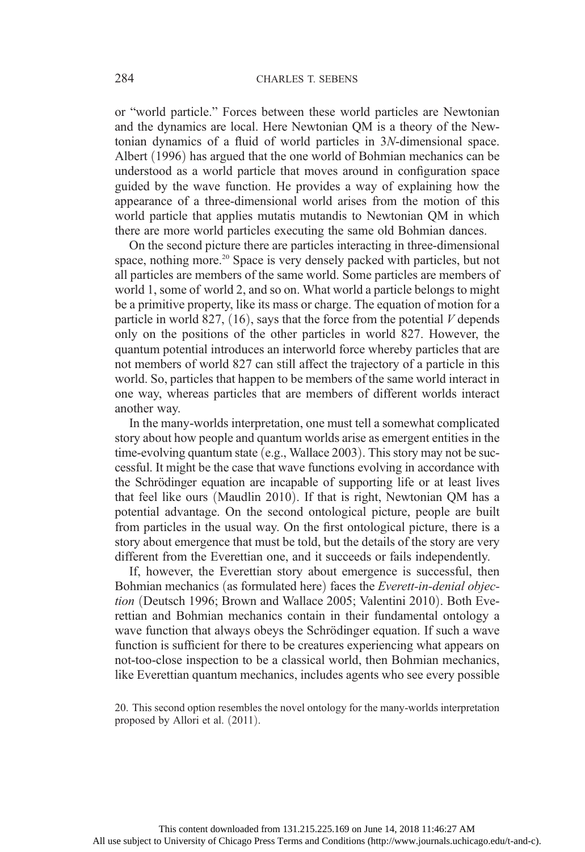or "world particle." Forces between these world particles are Newtonian and the dynamics are local. Here Newtonian QM is a theory of the Newtonian dynamics of a fluid of world particles in 3N-dimensional space. Albert (1996) has argued that the one world of Bohmian mechanics can be understood as a world particle that moves around in configuration space guided by the wave function. He provides a way of explaining how the appearance of a three-dimensional world arises from the motion of this world particle that applies mutatis mutandis to Newtonian QM in which there are more world particles executing the same old Bohmian dances.

On the second picture there are particles interacting in three-dimensional space, nothing more.<sup>20</sup> Space is very densely packed with particles, but not all particles are members of the same world. Some particles are members of world 1, some of world 2, and so on. What world a particle belongs to might be a primitive property, like its mass or charge. The equation of motion for a particle in world 827,  $(16)$ , says that the force from the potential V depends only on the positions of the other particles in world 827. However, the quantum potential introduces an interworld force whereby particles that are not members of world 827 can still affect the trajectory of a particle in this world. So, particles that happen to be members of the same world interact in one way, whereas particles that are members of different worlds interact another way.

In the many-worlds interpretation, one must tell a somewhat complicated story about how people and quantum worlds arise as emergent entities in the time-evolving quantum state  $(e.g.,$  Wallace 2003). This story may not be successful. It might be the case that wave functions evolving in accordance with the Schrödinger equation are incapable of supporting life or at least lives that feel like ours (Maudlin 2010). If that is right, Newtonian OM has a potential advantage. On the second ontological picture, people are built from particles in the usual way. On the first ontological picture, there is a story about emergence that must be told, but the details of the story are very different from the Everettian one, and it succeeds or fails independently.

If, however, the Everettian story about emergence is successful, then Bohmian mechanics (as formulated here) faces the Everett-in-denial objection (Deutsch 1996; Brown and Wallace 2005; Valentini 2010). Both Everettian and Bohmian mechanics contain in their fundamental ontology a wave function that always obeys the Schrödinger equation. If such a wave function is sufficient for there to be creatures experiencing what appears on not-too-close inspection to be a classical world, then Bohmian mechanics, like Everettian quantum mechanics, includes agents who see every possible

20. This second option resembles the novel ontology for the many-worlds interpretation proposed by Allori et al. (2011).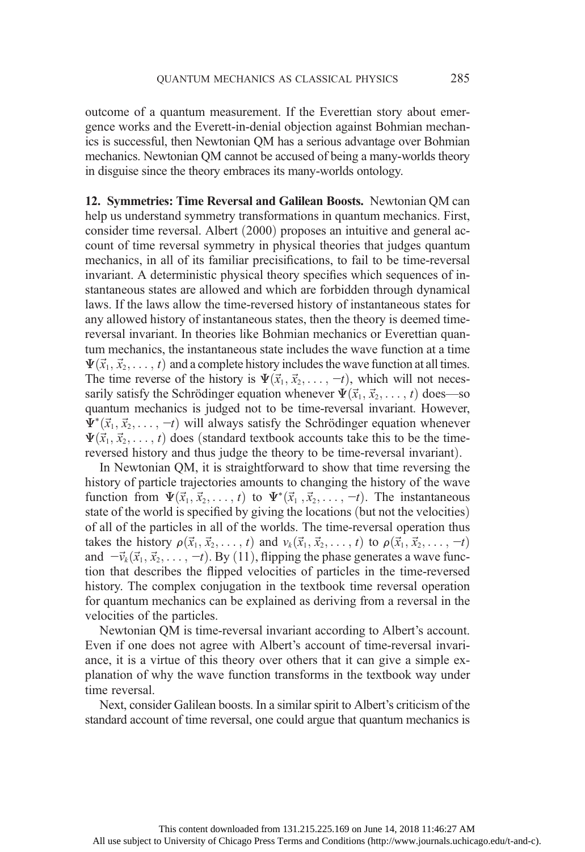outcome of a quantum measurement. If the Everettian story about emergence works and the Everett-in-denial objection against Bohmian mechanics is successful, then Newtonian QM has a serious advantage over Bohmian mechanics. Newtonian QM cannot be accused of being a many-worlds theory in disguise since the theory embraces its many-worlds ontology.

12. Symmetries: Time Reversal and Galilean Boosts. Newtonian QM can help us understand symmetry transformations in quantum mechanics. First, consider time reversal. Albert (2000) proposes an intuitive and general account of time reversal symmetry in physical theories that judges quantum mechanics, in all of its familiar precisifications, to fail to be time-reversal invariant. A deterministic physical theory specifies which sequences of instantaneous states are allowed and which are forbidden through dynamical laws. If the laws allow the time-reversed history of instantaneous states for any allowed history of instantaneous states, then the theory is deemed timereversal invariant. In theories like Bohmian mechanics or Everettian quantum mechanics, the instantaneous state includes the wave function at a time  $\Psi(\vec{x}_1, \vec{x}_2, \ldots, t)$  and a complete history includes the wave function at all times. The time reverse of the history is  $\Psi(\vec{x}_1, \vec{x}_2, \dots, -t)$ , which will not necessarily satisfy the Schrödinger equation whenever  $\Psi(\vec{x}_1, \vec{x}_2, \ldots, t)$  does—so quantum mechanics is judged not to be time-reversal invariant. However,  $\Psi^*(\vec{x}_1, \vec{x}_2, \ldots, -t)$  will always satisfy the Schrödinger equation whenever  $\Psi(\vec{x}_1, \vec{x}_2, \ldots, t)$  does (standard textbook accounts take this to be the timereversed history and thus judge the theory to be time-reversal invariant).

In Newtonian QM, it is straightforward to show that time reversing the history of particle trajectories amounts to changing the history of the wave function from  $\Psi(\vec{x}_1, \vec{x}_2, \ldots, t)$  to  $\Psi^*(\vec{x}_1, \vec{x}_2, \ldots, -t)$ . The instantaneous state of the world is specified by giving the locations (but not the velocities) of all of the particles in all of the worlds. The time-reversal operation thus takes the history  $\rho(\vec{x}_1, \vec{x}_2, \ldots, t)$  and  $v_k(\vec{x}_1, \vec{x}_2, \ldots, t)$  to  $\rho(\vec{x}_1, \vec{x}_2, \ldots, -t)$ and  $-\vec{v}_k (\vec{x}_1, \vec{x}_2, \ldots, -t)$ . By (11), flipping the phase generates a wave function that describes the flipped velocities of particles in the time-reversed history. The complex conjugation in the textbook time reversal operation for quantum mechanics can be explained as deriving from a reversal in the velocities of the particles.

Newtonian QM is time-reversal invariant according to Albert's account. Even if one does not agree with Albert's account of time-reversal invariance, it is a virtue of this theory over others that it can give a simple explanation of why the wave function transforms in the textbook way under time reversal.

Next, consider Galilean boosts. In a similar spirit to Albert's criticism of the standard account of time reversal, one could argue that quantum mechanics is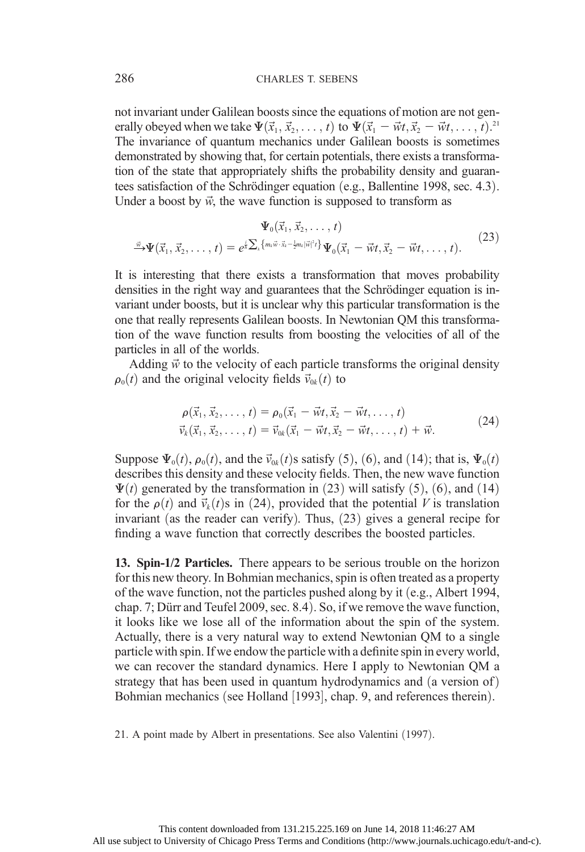## 286 CHARLES T. SEBENS

not invariant under Galilean boosts since the equations of motion are not generally obeyed when we take  $\Psi(\vec{x}_1, \vec{x}_2, \dots, t)$  to  $\Psi(\vec{x}_1 - \vec{w}t, \vec{x}_2 - \vec{w}t, \dots, t)$ .<sup>21</sup><br>The invariance of quantum mechanics under Galilean boosts is sometimes The invariance of quantum mechanics under Galilean boosts is sometimes demonstrated by showing that, for certain potentials, there exists a transformation of the state that appropriately shifts the probability density and guarantees satisfaction of the Schrödinger equation (e.g., Ballentine 1998, sec. 4.3). Under a boost by  $\vec{w}$ , the wave function is supposed to transform as

$$
\Psi_0(\vec{x}_1, \vec{x}_2, \dots, t) = e^{i \sum_k \{m_k \vec{w} \cdot \vec{x}_k - \frac{1}{2} m_k |\vec{w}|^2 t\}} \Psi_0(\vec{x}_1 - \vec{w}t, \vec{x}_2 - \vec{w}t, \dots, t).
$$
(23)

It is interesting that there exists a transformation that moves probability densities in the right way and guarantees that the Schrödinger equation is invariant under boosts, but it is unclear why this particular transformation is the one that really represents Galilean boosts. In Newtonian QM this transformation of the wave function results from boosting the velocities of all of the particles in all of the worlds.

Adding  $\vec{w}$  to the velocity of each particle transforms the original density  $\rho_0(t)$  and the original velocity fields  $\vec{v}_{0k}(t)$  to

$$
\rho(\vec{x}_1, \vec{x}_2, \dots, t) = \rho_0(\vec{x}_1 - \vec{w}t, \vec{x}_2 - \vec{w}t, \dots, t) \n\vec{v}_k(\vec{x}_1, \vec{x}_2, \dots, t) = \vec{v}_{0k}(\vec{x}_1 - \vec{w}t, \vec{x}_2 - \vec{w}t, \dots, t) + \vec{w}.
$$
\n(24)

Suppose  $\Psi_0(t)$ ,  $\rho_0(t)$ , and the  $\vec{v}_{0k}(t)$ s satisfy (5), (6), and (14); that is,  $\Psi_0(t)$ describes this density and these velocity fields. Then, the new wave function  $\Psi(t)$  generated by the transformation in (23) will satisfy (5), (6), and (14) for the  $\rho(t)$  and  $\vec{v}_k(t)$ s in (24), provided that the potential V is translation invariant (as the reader can verify). Thus,  $(23)$  gives a general recipe for finding a wave function that correctly describes the boosted particles.

13. Spin-1/2 Particles. There appears to be serious trouble on the horizon for this new theory. In Bohmian mechanics, spin is often treated as a property of the wave function, not the particles pushed along by it  $(e.g.,$  Albert 1994, chap. 7; Dürr and Teufel 2009, sec.  $8.4$ ). So, if we remove the wave function, it looks like we lose all of the information about the spin of the system. Actually, there is a very natural way to extend Newtonian QM to a single particle with spin. If we endow the particle with a definite spin in every world, we can recover the standard dynamics. Here I apply to Newtonian QM a strategy that has been used in quantum hydrodynamics and (a version of) Bohmian mechanics (see Holland [1993], chap. 9, and references therein).

21. A point made by Albert in presentations. See also Valentini (1997).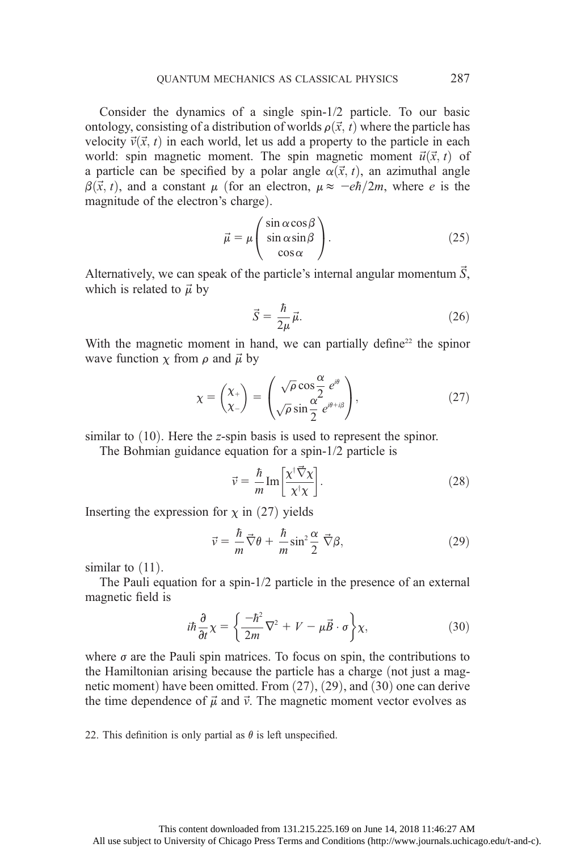Consider the dynamics of a single spin-1/2 particle. To our basic ontology, consisting of a distribution of worlds  $\rho(\vec{x}, t)$  where the particle has velocity  $\vec{v}(\vec{x}, t)$  in each world, let us add a property to the particle in each world: spin magnetic moment. The spin magnetic moment  $\vec{u}(\vec{x}, t)$  of a particle can be specified by a polar angle  $\alpha(\vec{x}, t)$ , an azimuthal angle  $\beta(\vec{x}, t)$ , and a constant  $\mu$  (for an electron,  $\mu \approx -e\hbar/2m$ , where e is the magnitude of the electron's charge).

$$
\vec{\mu} = \mu \begin{pmatrix} \sin \alpha \cos \beta \\ \sin \alpha \sin \beta \\ \cos \alpha \end{pmatrix} . \tag{25}
$$

Alternatively, we can speak of the particle's internal angular momentum  $\vec{S}$ , which is related to  $\vec{\mu}$  by

$$
\vec{S} = \frac{\hbar}{2\mu}\vec{\mu}.\tag{26}
$$

With the magnetic moment in hand, we can partially define<sup>22</sup> the spinor wave function  $\chi$  from  $\rho$  and  $\vec{\mu}$  by

$$
\chi = \begin{pmatrix} \chi_+ \\ \chi_- \end{pmatrix} = \begin{pmatrix} \sqrt{\rho} \cos \frac{\alpha}{2} e^{i\theta} \\ \sqrt{\rho} \sin \frac{\alpha}{2} e^{i\theta + i\beta} \end{pmatrix},
$$
(27)

similar to  $(10)$ . Here the z-spin basis is used to represent the spinor.

The Bohmian guidance equation for a spin-1/2 particle is

$$
\vec{v} = \frac{\hbar}{m} \text{Im} \left[ \frac{\chi^{\dagger} \vec{\nabla} \chi}{\chi^{\dagger} \chi} \right]. \tag{28}
$$

Inserting the expression for  $\chi$  in (27) yields

$$
\vec{v} = \frac{\hbar}{m}\vec{\nabla}\theta + \frac{\hbar}{m}\sin^2\frac{\alpha}{2}\vec{\nabla}\beta,
$$
\n(29)

similar to  $(11)$ .

The Pauli equation for a spin-1/2 particle in the presence of an external magnetic field is

$$
i\hbar \frac{\partial}{\partial t} \chi = \left\{ \frac{-\hbar^2}{2m} \nabla^2 + V - \mu \vec{B} \cdot \sigma \right\} \chi,
$$
 (30)

where  $\sigma$  are the Pauli spin matrices. To focus on spin, the contributions to the Hamiltonian arising because the particle has a charge (not just a magnetic moment) have been omitted. From  $(27)$ ,  $(29)$ , and  $(30)$  one can derive the time dependence of  $\vec{\mu}$  and  $\vec{v}$ . The magnetic moment vector evolves as

22. This definition is only partial as  $\theta$  is left unspecified.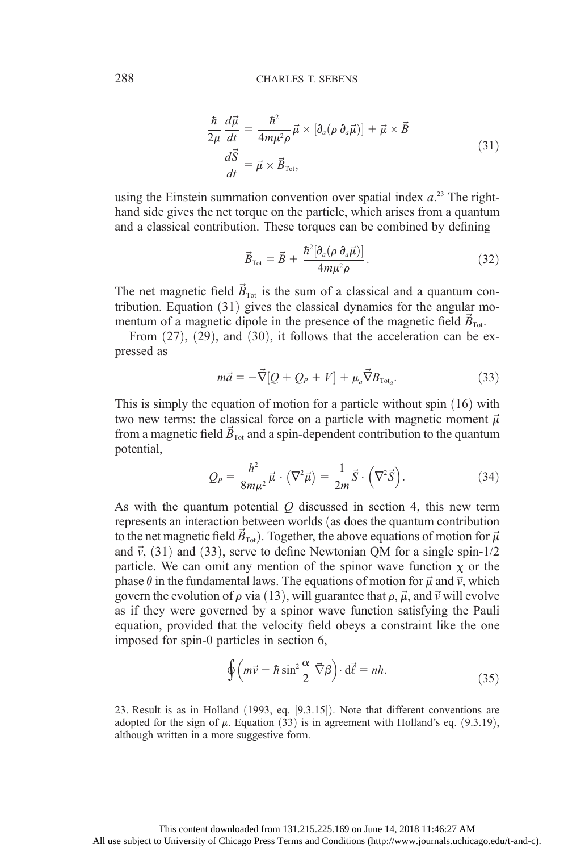$$
\frac{\hbar}{2\mu} \frac{d\vec{\mu}}{dt} = \frac{\hbar^2}{4m\mu^2 \rho} \vec{\mu} \times \left[\partial_a(\rho \partial_a \vec{\mu})\right] + \vec{\mu} \times \vec{B}
$$
\n
$$
\frac{d\vec{S}}{dt} = \vec{\mu} \times \vec{B}_{\text{Tot}},
$$
\n(31)

using the Einstein summation convention over spatial index  $a$ <sup>23</sup>. The righthand side gives the net torque on the particle, which arises from a quantum and a classical contribution. These torques can be combined by defining

$$
\vec{B}_{\text{Tot}} = \vec{B} + \frac{\hbar^2 [\partial_a (\rho \partial_a \vec{\mu})]}{4m\mu^2 \rho}.
$$
\n(32)

The net magnetic field  $\vec{B}_{\text{Tot}}$  is the sum of a classical and a quantum contribution. Equation  $(31)$  gives the classical dynamics for the angular momentum of a magnetic dipole in the presence of the magnetic field  $\vec{B}_{\text{Tot}}$ .

From  $(27)$ ,  $(29)$ , and  $(30)$ , it follows that the acceleration can be expressed as

$$
m\vec{a} = -\vec{\nabla}[\mathcal{Q} + \mathcal{Q}_P + V] + \mu_a \vec{\nabla} B_{\text{Tot}_a}.
$$
\n(33)

This is simply the equation of motion for a particle without spin  $(16)$  with two new terms: the classical force on a particle with magnetic moment  $\vec{\mu}$ from a magnetic field  $\vec{B}_{\text{Tot}}$  and a spin-dependent contribution to the quantum potential,

$$
Q_P = \frac{\hbar^2}{8m\mu^2}\vec{\mu} \cdot (\nabla^2 \vec{\mu}) = \frac{1}{2m}\vec{S} \cdot (\nabla^2 \vec{S}).
$$
 (34)

As with the quantum potential  $Q$  discussed in section 4, this new term represents an interaction between worlds (as does the quantum contribution to the net magnetic field  $\vec{B}_{\text{Tot}}$ ). Together, the above equations of motion for  $\vec{\mu}$ and  $\vec{v}$ , (31) and (33), serve to define Newtonian QM for a single spin-1/2 particle. We can omit any mention of the spinor wave function  $\chi$  or the phase  $\theta$  in the fundamental laws. The equations of motion for  $\vec{\mu}$  and  $\vec{v}$ , which govern the evolution of  $\rho$  via (13), will guarantee that  $\rho$ ,  $\vec{\mu}$ , and  $\vec{v}$  will evolve as if they were governed by a spinor wave function satisfying the Pauli equation, provided that the velocity field obeys a constraint like the one imposed for spin-0 particles in section 6,

$$
\oint \left(m\vec{v} - \hbar \sin^2{\frac{\alpha}{2}} \vec{\nabla}\beta\right) \cdot d\vec{\ell} = nh.
$$
\n(35)

23. Result is as in Holland (1993, eq. [9.3.15]). Note that different conventions are adopted for the sign of  $\mu$  Equation (33) is in agreement with Holland's eq. (9.3.19) adopted for the sign of  $\mu$ . Equation (33) is in agreement with Holland's eq. (9.3.19), although written in a more suggestive form.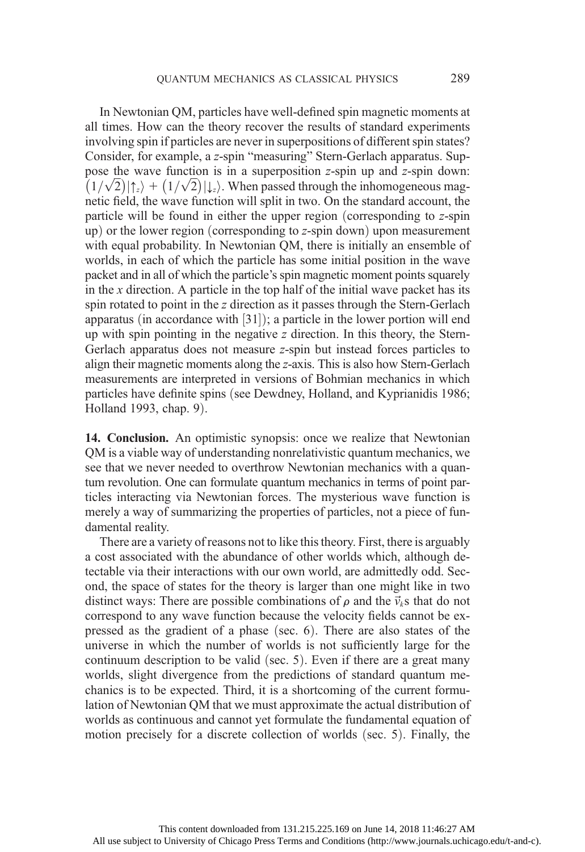In Newtonian QM, particles have well-defined spin magnetic moments at all times. How can the theory recover the results of standard experiments involving spin if particles are never in superpositions of different spin states? Consider, for example, a z-spin "measuring" Stern-Gerlach apparatus. Suppose the wave function is in a superposition z-spin up and z-spin down:  $(1/\sqrt{2})\uparrow z$  +  $(1/\sqrt{2})\downarrow z$ . When passed through the inhomogeneous magnetic field the wave function will split in two. On the standard account the netic field, the wave function will split in two. On the standard account, the particle will be found in either the upper region (corresponding to  $z$ -spin up) or the lower region (corresponding to z-spin down) upon measurement with equal probability. In Newtonian QM, there is initially an ensemble of worlds, in each of which the particle has some initial position in the wave packet and in all of which the particle's spin magnetic moment points squarely in the x direction. A particle in the top half of the initial wave packet has its spin rotated to point in the z direction as it passes through the Stern-Gerlach apparatus (in accordance with  $[31]$ ); a particle in the lower portion will end<br>un with spin pointing in the negative z direction. In this theory, the Sternup with spin pointing in the negative  $z$  direction. In this theory, the Stern-Gerlach apparatus does not measure z-spin but instead forces particles to align their magnetic moments along the z-axis. This is also how Stern-Gerlach measurements are interpreted in versions of Bohmian mechanics in which particles have definite spins (see Dewdney, Holland, and Kyprianidis 1986; Holland 1993, chap.  $9$ ).

14. Conclusion. An optimistic synopsis: once we realize that Newtonian QM is a viable way of understanding nonrelativistic quantum mechanics, we see that we never needed to overthrow Newtonian mechanics with a quantum revolution. One can formulate quantum mechanics in terms of point particles interacting via Newtonian forces. The mysterious wave function is merely a way of summarizing the properties of particles, not a piece of fundamental reality.

There are a variety of reasons not to like this theory. First, there is arguably a cost associated with the abundance of other worlds which, although detectable via their interactions with our own world, are admittedly odd. Second, the space of states for the theory is larger than one might like in two distinct ways: There are possible combinations of  $\rho$  and the  $\vec{v}_k$  s that do not correspond to any wave function because the velocity fields cannot be expressed as the gradient of a phase (sec.  $6$ ). There are also states of the universe in which the number of worlds is not sufficiently large for the continuum description to be valid (sec.  $5$ ). Even if there are a great many worlds, slight divergence from the predictions of standard quantum mechanics is to be expected. Third, it is a shortcoming of the current formulation of Newtonian QM that we must approximate the actual distribution of worlds as continuous and cannot yet formulate the fundamental equation of motion precisely for a discrete collection of worlds (sec. 5). Finally, the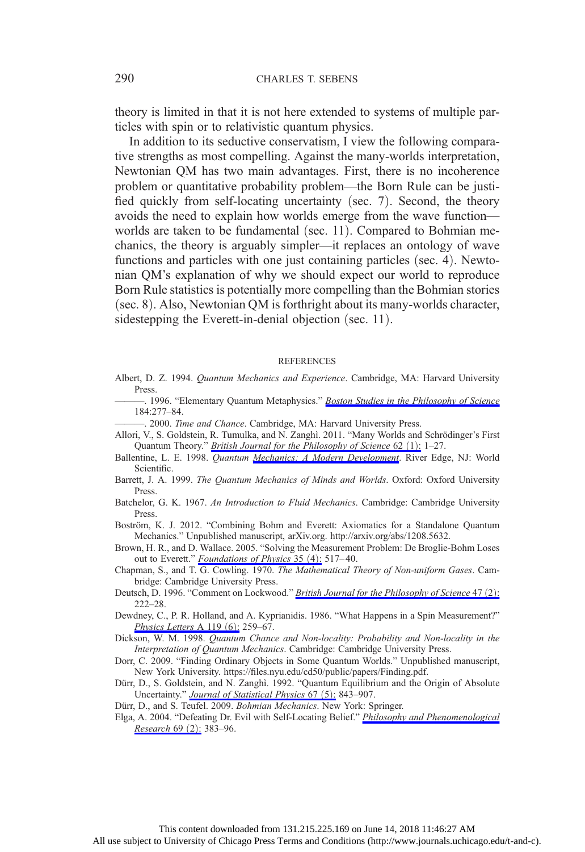theory is limited in that it is not here extended to systems of multiple particles with spin or to relativistic quantum physics.

In addition to its seductive conservatism, I view the following comparative strengths as most compelling. Against the many-worlds interpretation, Newtonian QM has two main advantages. First, there is no incoherence problem or quantitative probability problem—the Born Rule can be justified quickly from self-locating uncertainty (sec. 7). Second, the theory avoids the need to explain how worlds emerge from the wave function worlds are taken to be fundamental (sec. 11). Compared to Bohmian mechanics, the theory is arguably simpler—it replaces an ontology of wave functions and particles with one just containing particles (sec. 4). Newtonian QM's explanation of why we should expect our world to reproduce Born Rule statistics is potentially more compelling than the Bohmian stories  $(sec. 8)$ . Also, Newtonian QM is forthright about its many-worlds character, sidestepping the Everett-in-denial objection (sec. 11).

## **REFERENCES**

- Albert, D. Z. 1994. Quantum Mechanics and Experience. Cambridge, MA: Harvard University Press.
- —. 1996. "Elementary Quantum Metaphysics." [Boston Studies in the Philosophy of Science](https://www.journals.uchicago.edu/action/showLinks?doi=10.1086%2F680190&crossref=10.1007%2F978-94-015-8715-0_19&citationId=p_25) 184:277–84.
- 2000. Time and Chance. Cambridge, MA: Harvard University Press.
- Allori, V., S. Goldstein, R. Tumulka, and N. Zanghì. 2011. "Many Worlds and Schrödinger's First Quantum Theory." *[British Journal for the Philosophy of Science](https://www.journals.uchicago.edu/action/showLinks?doi=10.1086%2F680190&crossref=10.1093%2Fbjps%2Faxp053&citationId=p_27) 62 (1): 1-27.*
- Ballentine, L. E. 1998. Quantum [Mechanics: A Modern Development](https://www.journals.uchicago.edu/action/showLinks?doi=10.1086%2F680190&crossref=10.1142%2F3142&citationId=p_28). River Edge, NJ: World Scientific.
- Barrett, J. A. 1999. The Quantum Mechanics of Minds and Worlds. Oxford: Oxford University Press.
- Batchelor, G. K. 1967. An Introduction to Fluid Mechanics. Cambridge: Cambridge University Press.
- Boström, K. J. 2012. "Combining Bohm and Everett: Axiomatics for a Standalone Quantum Mechanics." Unpublished manuscript, arXiv.org. http://arxiv.org/abs/1208.5632.
- Brown, H. R., and D. Wallace. 2005. "Solving the Measurement Problem: De Broglie-Bohm Loses out to Everett." [Foundations of Physics](https://www.journals.uchicago.edu/action/showLinks?doi=10.1086%2F680190&crossref=10.1007%2Fs10701-004-2009-3&citationId=p_32)  $35(4)$ : 517–40.
- Chapman, S., and T. G. Cowling. 1970. The Mathematical Theory of Non-uniform Gases. Cambridge: Cambridge University Press.
- Deutsch, D. 1996. "Comment on Lockwood." [British Journal for the Philosophy of Science](https://www.journals.uchicago.edu/action/showLinks?doi=10.1086%2F680190&crossref=10.1093%2Fbjps%2F47.2.222&citationId=p_34) 47 (2): 222–28.
- Dewdney, C., P. R. Holland, and A. Kyprianidis. 1986. "What Happens in a Spin Measurement?" [Physics Letters](https://www.journals.uchicago.edu/action/showLinks?doi=10.1086%2F680190&crossref=10.1016%2F0375-9601%2886%2990144-1&citationId=p_35) A 119 (6): 259–67.
- Dickson, W. M. 1998. Quantum Chance and Non-locality: Probability and Non-locality in the Interpretation of Quantum Mechanics. Cambridge: Cambridge University Press.
- Dorr, C. 2009. "Finding Ordinary Objects in Some Quantum Worlds." Unpublished manuscript, New York University. https://files.nyu.edu/cd50/public/papers/Finding.pdf.
- Dürr, D., S. Goldstein, and N. Zanghì. 1992. "Quantum Equilibrium and the Origin of Absolute Uncertainty." *[Journal of Statistical Physics](https://www.journals.uchicago.edu/action/showLinks?doi=10.1086%2F680190&crossref=10.1007%2FBF01049004&citationId=p_38)* 67 (5): 843–907.
- Dürr, D., and S. Teufel. 2009. Bohmian Mechanics. New York: Springer.
- Elga, A. 2004. "Defeating Dr. Evil with Self-Locating Belief." [Philosophy and Phenomenological](https://www.journals.uchicago.edu/action/showLinks?doi=10.1086%2F680190&crossref=10.1111%2Fj.1933-1592.2004.tb00400.x&citationId=p_40) [Research](https://www.journals.uchicago.edu/action/showLinks?doi=10.1086%2F680190&crossref=10.1111%2Fj.1933-1592.2004.tb00400.x&citationId=p_40) 69 (2): 383-96.

All use subject to University of Chicago Press Terms and Conditions (http://www.journals.uchicago.edu/t-and-c).